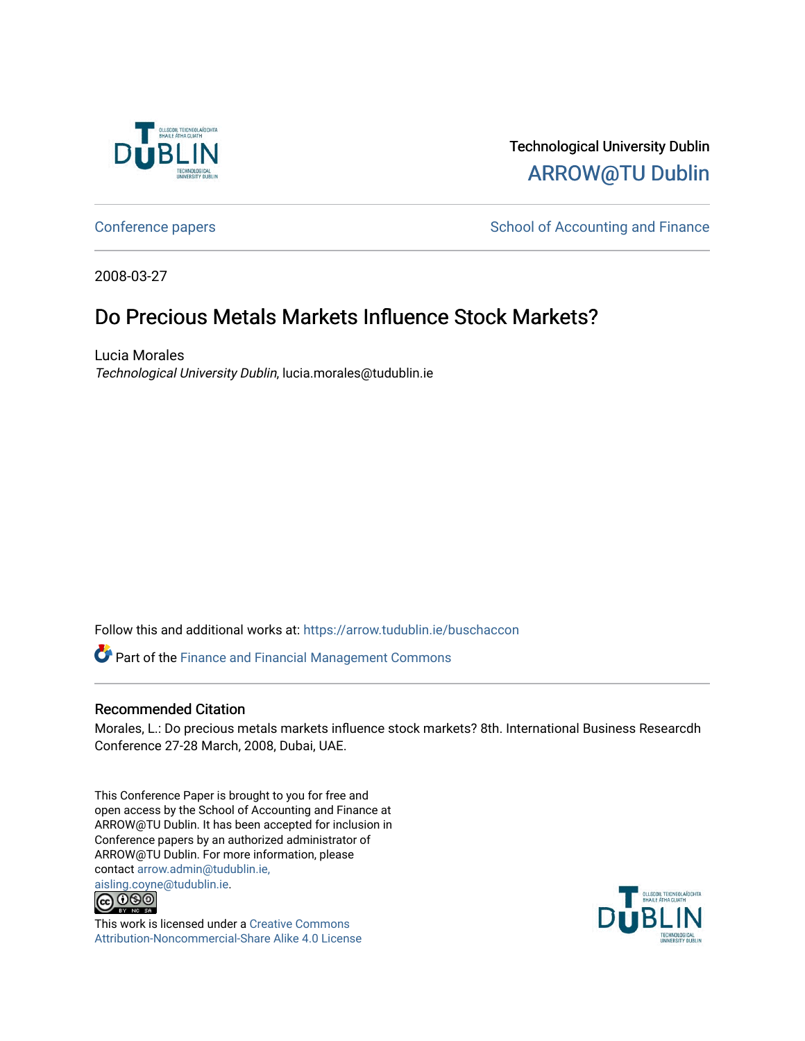

Technological University Dublin [ARROW@TU Dublin](https://arrow.tudublin.ie/) 

[Conference papers](https://arrow.tudublin.ie/buschaccon) **School of Accounting and Finance** School of Accounting and Finance

2008-03-27

# Do Precious Metals Markets Influence Stock Markets?

Lucia Morales Technological University Dublin, lucia.morales@tudublin.ie

Follow this and additional works at: [https://arrow.tudublin.ie/buschaccon](https://arrow.tudublin.ie/buschaccon?utm_source=arrow.tudublin.ie%2Fbuschaccon%2F1&utm_medium=PDF&utm_campaign=PDFCoverPages)

Part of the [Finance and Financial Management Commons](http://network.bepress.com/hgg/discipline/631?utm_source=arrow.tudublin.ie%2Fbuschaccon%2F1&utm_medium=PDF&utm_campaign=PDFCoverPages) 

# Recommended Citation

Morales, L.: Do precious metals markets influence stock markets? 8th. International Business Researcdh Conference 27-28 March, 2008, Dubai, UAE.

This Conference Paper is brought to you for free and open access by the School of Accounting and Finance at ARROW@TU Dublin. It has been accepted for inclusion in Conference papers by an authorized administrator of ARROW@TU Dublin. For more information, please contact [arrow.admin@tudublin.ie,](mailto:arrow.admin@tudublin.ie,%20aisling.coyne@tudublin.ie) 



This work is licensed under a [Creative Commons](http://creativecommons.org/licenses/by-nc-sa/4.0/) [Attribution-Noncommercial-Share Alike 4.0 License](http://creativecommons.org/licenses/by-nc-sa/4.0/)

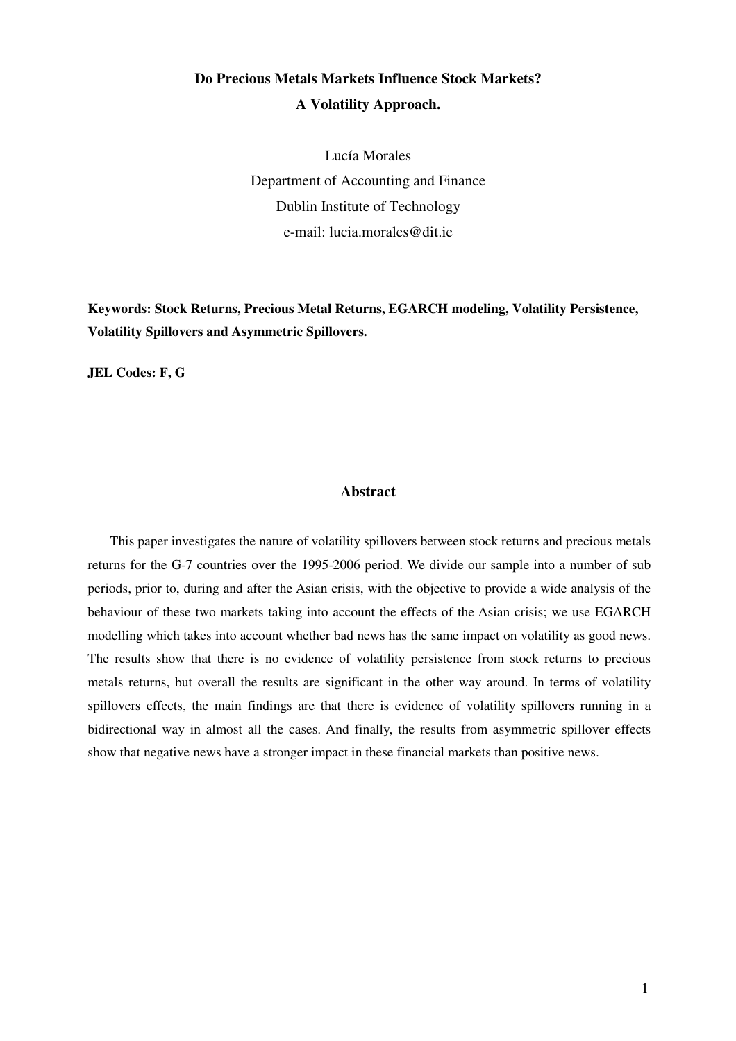# **Do Precious Metals Markets Influence Stock Markets? A Volatility Approach.**

Lucía Morales Department of Accounting and Finance Dublin Institute of Technology e-mail: lucia.morales@dit.ie

**Keywords: Stock Returns, Precious Metal Returns, EGARCH modeling, Volatility Persistence, Volatility Spillovers and Asymmetric Spillovers.** 

**JEL Codes: F, G** 

#### **Abstract**

This paper investigates the nature of volatility spillovers between stock returns and precious metals returns for the G-7 countries over the 1995-2006 period. We divide our sample into a number of sub periods, prior to, during and after the Asian crisis, with the objective to provide a wide analysis of the behaviour of these two markets taking into account the effects of the Asian crisis; we use EGARCH modelling which takes into account whether bad news has the same impact on volatility as good news. The results show that there is no evidence of volatility persistence from stock returns to precious metals returns, but overall the results are significant in the other way around. In terms of volatility spillovers effects, the main findings are that there is evidence of volatility spillovers running in a bidirectional way in almost all the cases. And finally, the results from asymmetric spillover effects show that negative news have a stronger impact in these financial markets than positive news.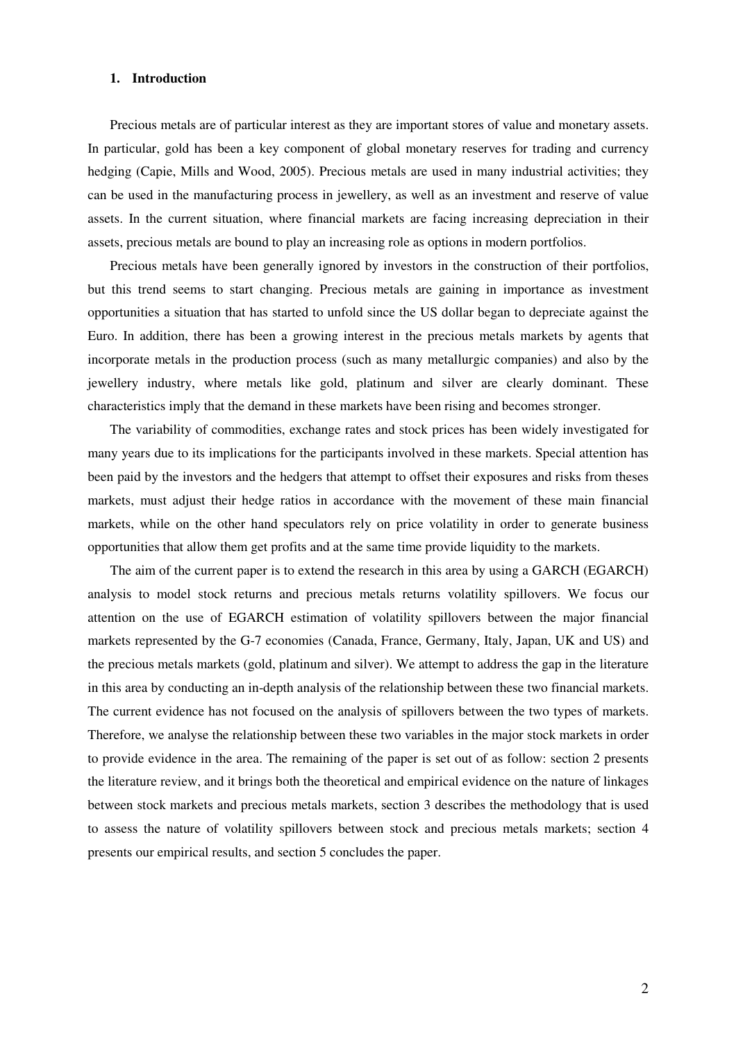## **1. Introduction**

Precious metals are of particular interest as they are important stores of value and monetary assets. In particular, gold has been a key component of global monetary reserves for trading and currency hedging (Capie, Mills and Wood, 2005). Precious metals are used in many industrial activities; they can be used in the manufacturing process in jewellery, as well as an investment and reserve of value assets. In the current situation, where financial markets are facing increasing depreciation in their assets, precious metals are bound to play an increasing role as options in modern portfolios.

Precious metals have been generally ignored by investors in the construction of their portfolios, but this trend seems to start changing. Precious metals are gaining in importance as investment opportunities a situation that has started to unfold since the US dollar began to depreciate against the Euro. In addition, there has been a growing interest in the precious metals markets by agents that incorporate metals in the production process (such as many metallurgic companies) and also by the jewellery industry, where metals like gold, platinum and silver are clearly dominant. These characteristics imply that the demand in these markets have been rising and becomes stronger.

The variability of commodities, exchange rates and stock prices has been widely investigated for many years due to its implications for the participants involved in these markets. Special attention has been paid by the investors and the hedgers that attempt to offset their exposures and risks from theses markets, must adjust their hedge ratios in accordance with the movement of these main financial markets, while on the other hand speculators rely on price volatility in order to generate business opportunities that allow them get profits and at the same time provide liquidity to the markets.

The aim of the current paper is to extend the research in this area by using a GARCH (EGARCH) analysis to model stock returns and precious metals returns volatility spillovers. We focus our attention on the use of EGARCH estimation of volatility spillovers between the major financial markets represented by the G-7 economies (Canada, France, Germany, Italy, Japan, UK and US) and the precious metals markets (gold, platinum and silver). We attempt to address the gap in the literature in this area by conducting an in-depth analysis of the relationship between these two financial markets. The current evidence has not focused on the analysis of spillovers between the two types of markets. Therefore, we analyse the relationship between these two variables in the major stock markets in order to provide evidence in the area. The remaining of the paper is set out of as follow: section 2 presents the literature review, and it brings both the theoretical and empirical evidence on the nature of linkages between stock markets and precious metals markets, section 3 describes the methodology that is used to assess the nature of volatility spillovers between stock and precious metals markets; section 4 presents our empirical results, and section 5 concludes the paper.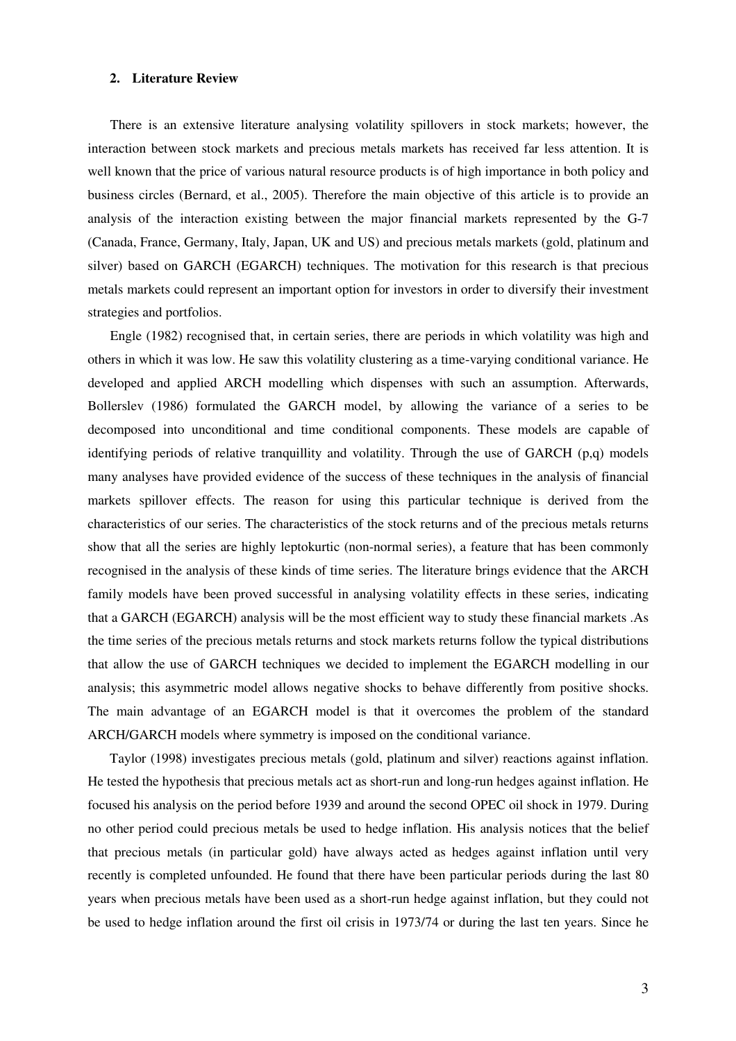## **2. Literature Review**

There is an extensive literature analysing volatility spillovers in stock markets; however, the interaction between stock markets and precious metals markets has received far less attention. It is well known that the price of various natural resource products is of high importance in both policy and business circles (Bernard, et al., 2005). Therefore the main objective of this article is to provide an analysis of the interaction existing between the major financial markets represented by the G-7 (Canada, France, Germany, Italy, Japan, UK and US) and precious metals markets (gold, platinum and silver) based on GARCH (EGARCH) techniques. The motivation for this research is that precious metals markets could represent an important option for investors in order to diversify their investment strategies and portfolios.

Engle (1982) recognised that, in certain series, there are periods in which volatility was high and others in which it was low. He saw this volatility clustering as a time-varying conditional variance. He developed and applied ARCH modelling which dispenses with such an assumption. Afterwards, Bollerslev (1986) formulated the GARCH model, by allowing the variance of a series to be decomposed into unconditional and time conditional components. These models are capable of identifying periods of relative tranquillity and volatility. Through the use of GARCH (p,q) models many analyses have provided evidence of the success of these techniques in the analysis of financial markets spillover effects. The reason for using this particular technique is derived from the characteristics of our series. The characteristics of the stock returns and of the precious metals returns show that all the series are highly leptokurtic (non-normal series), a feature that has been commonly recognised in the analysis of these kinds of time series. The literature brings evidence that the ARCH family models have been proved successful in analysing volatility effects in these series, indicating that a GARCH (EGARCH) analysis will be the most efficient way to study these financial markets .As the time series of the precious metals returns and stock markets returns follow the typical distributions that allow the use of GARCH techniques we decided to implement the EGARCH modelling in our analysis; this asymmetric model allows negative shocks to behave differently from positive shocks. The main advantage of an EGARCH model is that it overcomes the problem of the standard ARCH/GARCH models where symmetry is imposed on the conditional variance.

Taylor (1998) investigates precious metals (gold, platinum and silver) reactions against inflation. He tested the hypothesis that precious metals act as short-run and long-run hedges against inflation. He focused his analysis on the period before 1939 and around the second OPEC oil shock in 1979. During no other period could precious metals be used to hedge inflation. His analysis notices that the belief that precious metals (in particular gold) have always acted as hedges against inflation until very recently is completed unfounded. He found that there have been particular periods during the last 80 years when precious metals have been used as a short-run hedge against inflation, but they could not be used to hedge inflation around the first oil crisis in 1973/74 or during the last ten years. Since he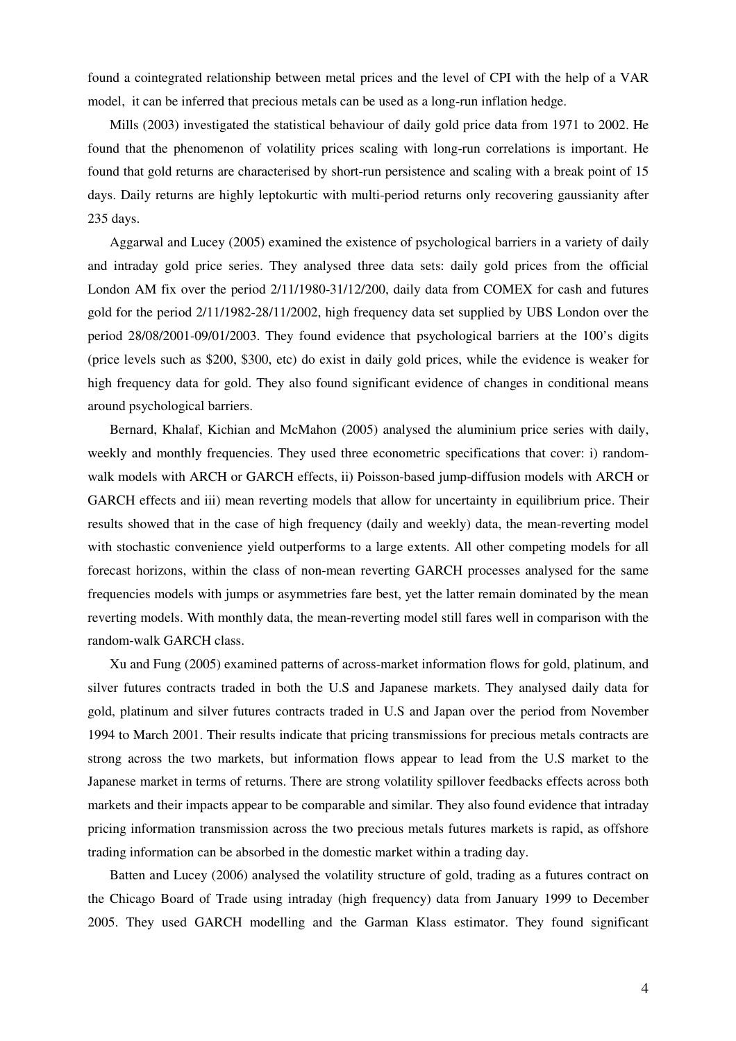found a cointegrated relationship between metal prices and the level of CPI with the help of a VAR model, it can be inferred that precious metals can be used as a long-run inflation hedge.

Mills (2003) investigated the statistical behaviour of daily gold price data from 1971 to 2002. He found that the phenomenon of volatility prices scaling with long-run correlations is important. He found that gold returns are characterised by short-run persistence and scaling with a break point of 15 days. Daily returns are highly leptokurtic with multi-period returns only recovering gaussianity after 235 days.

Aggarwal and Lucey (2005) examined the existence of psychological barriers in a variety of daily and intraday gold price series. They analysed three data sets: daily gold prices from the official London AM fix over the period 2/11/1980-31/12/200, daily data from COMEX for cash and futures gold for the period 2/11/1982-28/11/2002, high frequency data set supplied by UBS London over the period 28/08/2001-09/01/2003. They found evidence that psychological barriers at the 100's digits (price levels such as \$200, \$300, etc) do exist in daily gold prices, while the evidence is weaker for high frequency data for gold. They also found significant evidence of changes in conditional means around psychological barriers.

Bernard, Khalaf, Kichian and McMahon (2005) analysed the aluminium price series with daily, weekly and monthly frequencies. They used three econometric specifications that cover: i) randomwalk models with ARCH or GARCH effects, ii) Poisson-based jump-diffusion models with ARCH or GARCH effects and iii) mean reverting models that allow for uncertainty in equilibrium price. Their results showed that in the case of high frequency (daily and weekly) data, the mean-reverting model with stochastic convenience yield outperforms to a large extents. All other competing models for all forecast horizons, within the class of non-mean reverting GARCH processes analysed for the same frequencies models with jumps or asymmetries fare best, yet the latter remain dominated by the mean reverting models. With monthly data, the mean-reverting model still fares well in comparison with the random-walk GARCH class.

Xu and Fung (2005) examined patterns of across-market information flows for gold, platinum, and silver futures contracts traded in both the U.S and Japanese markets. They analysed daily data for gold, platinum and silver futures contracts traded in U.S and Japan over the period from November 1994 to March 2001. Their results indicate that pricing transmissions for precious metals contracts are strong across the two markets, but information flows appear to lead from the U.S market to the Japanese market in terms of returns. There are strong volatility spillover feedbacks effects across both markets and their impacts appear to be comparable and similar. They also found evidence that intraday pricing information transmission across the two precious metals futures markets is rapid, as offshore trading information can be absorbed in the domestic market within a trading day.

Batten and Lucey (2006) analysed the volatility structure of gold, trading as a futures contract on the Chicago Board of Trade using intraday (high frequency) data from January 1999 to December 2005. They used GARCH modelling and the Garman Klass estimator. They found significant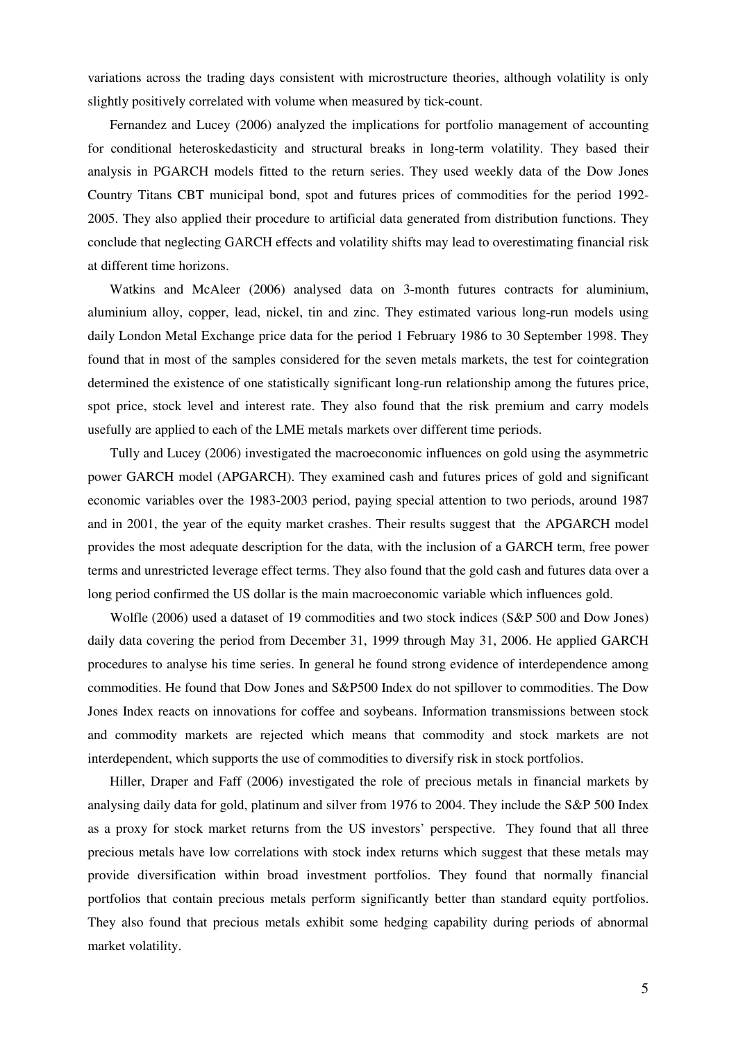variations across the trading days consistent with microstructure theories, although volatility is only slightly positively correlated with volume when measured by tick-count.

Fernandez and Lucey (2006) analyzed the implications for portfolio management of accounting for conditional heteroskedasticity and structural breaks in long-term volatility. They based their analysis in PGARCH models fitted to the return series. They used weekly data of the Dow Jones Country Titans CBT municipal bond, spot and futures prices of commodities for the period 1992- 2005. They also applied their procedure to artificial data generated from distribution functions. They conclude that neglecting GARCH effects and volatility shifts may lead to overestimating financial risk at different time horizons.

Watkins and McAleer (2006) analysed data on 3-month futures contracts for aluminium, aluminium alloy, copper, lead, nickel, tin and zinc. They estimated various long-run models using daily London Metal Exchange price data for the period 1 February 1986 to 30 September 1998. They found that in most of the samples considered for the seven metals markets, the test for cointegration determined the existence of one statistically significant long-run relationship among the futures price, spot price, stock level and interest rate. They also found that the risk premium and carry models usefully are applied to each of the LME metals markets over different time periods.

Tully and Lucey (2006) investigated the macroeconomic influences on gold using the asymmetric power GARCH model (APGARCH). They examined cash and futures prices of gold and significant economic variables over the 1983-2003 period, paying special attention to two periods, around 1987 and in 2001, the year of the equity market crashes. Their results suggest that the APGARCH model provides the most adequate description for the data, with the inclusion of a GARCH term, free power terms and unrestricted leverage effect terms. They also found that the gold cash and futures data over a long period confirmed the US dollar is the main macroeconomic variable which influences gold.

Wolfle (2006) used a dataset of 19 commodities and two stock indices (S&P 500 and Dow Jones) daily data covering the period from December 31, 1999 through May 31, 2006. He applied GARCH procedures to analyse his time series. In general he found strong evidence of interdependence among commodities. He found that Dow Jones and S&P500 Index do not spillover to commodities. The Dow Jones Index reacts on innovations for coffee and soybeans. Information transmissions between stock and commodity markets are rejected which means that commodity and stock markets are not interdependent, which supports the use of commodities to diversify risk in stock portfolios.

Hiller, Draper and Faff (2006) investigated the role of precious metals in financial markets by analysing daily data for gold, platinum and silver from 1976 to 2004. They include the S&P 500 Index as a proxy for stock market returns from the US investors' perspective. They found that all three precious metals have low correlations with stock index returns which suggest that these metals may provide diversification within broad investment portfolios. They found that normally financial portfolios that contain precious metals perform significantly better than standard equity portfolios. They also found that precious metals exhibit some hedging capability during periods of abnormal market volatility.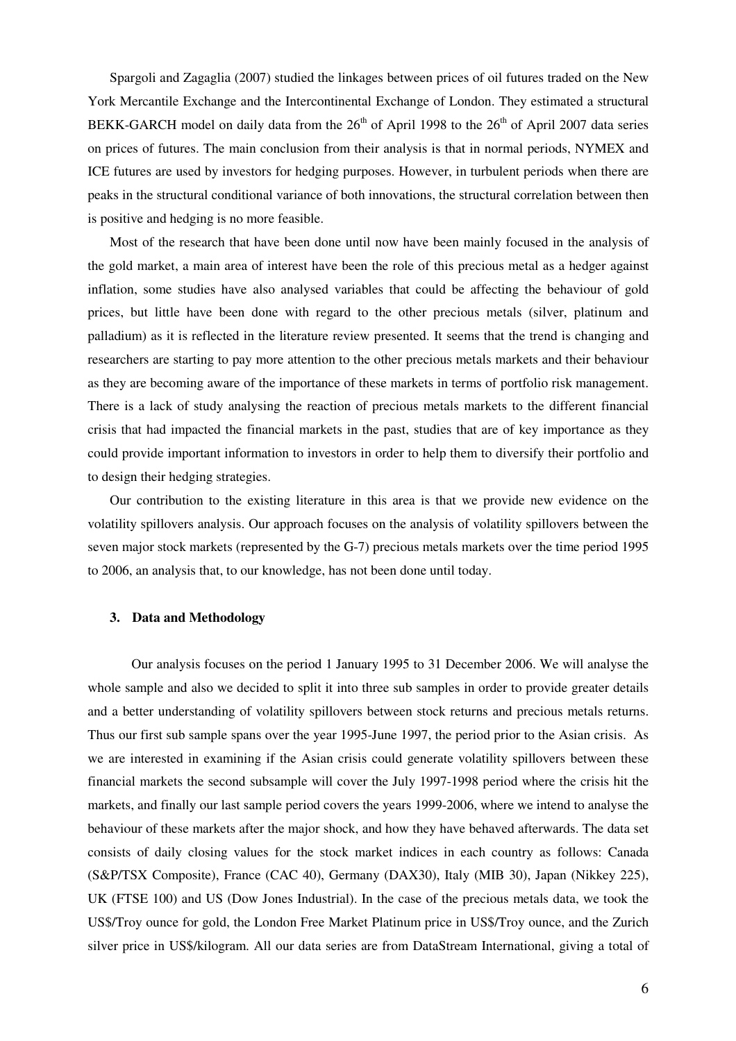Spargoli and Zagaglia (2007) studied the linkages between prices of oil futures traded on the New York Mercantile Exchange and the Intercontinental Exchange of London. They estimated a structural BEKK-GARCH model on daily data from the  $26<sup>th</sup>$  of April 1998 to the  $26<sup>th</sup>$  of April 2007 data series on prices of futures. The main conclusion from their analysis is that in normal periods, NYMEX and ICE futures are used by investors for hedging purposes. However, in turbulent periods when there are peaks in the structural conditional variance of both innovations, the structural correlation between then is positive and hedging is no more feasible.

Most of the research that have been done until now have been mainly focused in the analysis of the gold market, a main area of interest have been the role of this precious metal as a hedger against inflation, some studies have also analysed variables that could be affecting the behaviour of gold prices, but little have been done with regard to the other precious metals (silver, platinum and palladium) as it is reflected in the literature review presented. It seems that the trend is changing and researchers are starting to pay more attention to the other precious metals markets and their behaviour as they are becoming aware of the importance of these markets in terms of portfolio risk management. There is a lack of study analysing the reaction of precious metals markets to the different financial crisis that had impacted the financial markets in the past, studies that are of key importance as they could provide important information to investors in order to help them to diversify their portfolio and to design their hedging strategies.

Our contribution to the existing literature in this area is that we provide new evidence on the volatility spillovers analysis. Our approach focuses on the analysis of volatility spillovers between the seven major stock markets (represented by the G-7) precious metals markets over the time period 1995 to 2006, an analysis that, to our knowledge, has not been done until today.

## **3. Data and Methodology**

Our analysis focuses on the period 1 January 1995 to 31 December 2006. We will analyse the whole sample and also we decided to split it into three sub samples in order to provide greater details and a better understanding of volatility spillovers between stock returns and precious metals returns. Thus our first sub sample spans over the year 1995-June 1997, the period prior to the Asian crisis. As we are interested in examining if the Asian crisis could generate volatility spillovers between these financial markets the second subsample will cover the July 1997-1998 period where the crisis hit the markets, and finally our last sample period covers the years 1999-2006, where we intend to analyse the behaviour of these markets after the major shock, and how they have behaved afterwards. The data set consists of daily closing values for the stock market indices in each country as follows: Canada (S&P/TSX Composite), France (CAC 40), Germany (DAX30), Italy (MIB 30), Japan (Nikkey 225), UK (FTSE 100) and US (Dow Jones Industrial). In the case of the precious metals data, we took the US\$/Troy ounce for gold, the London Free Market Platinum price in US\$/Troy ounce, and the Zurich silver price in US\$/kilogram. All our data series are from DataStream International, giving a total of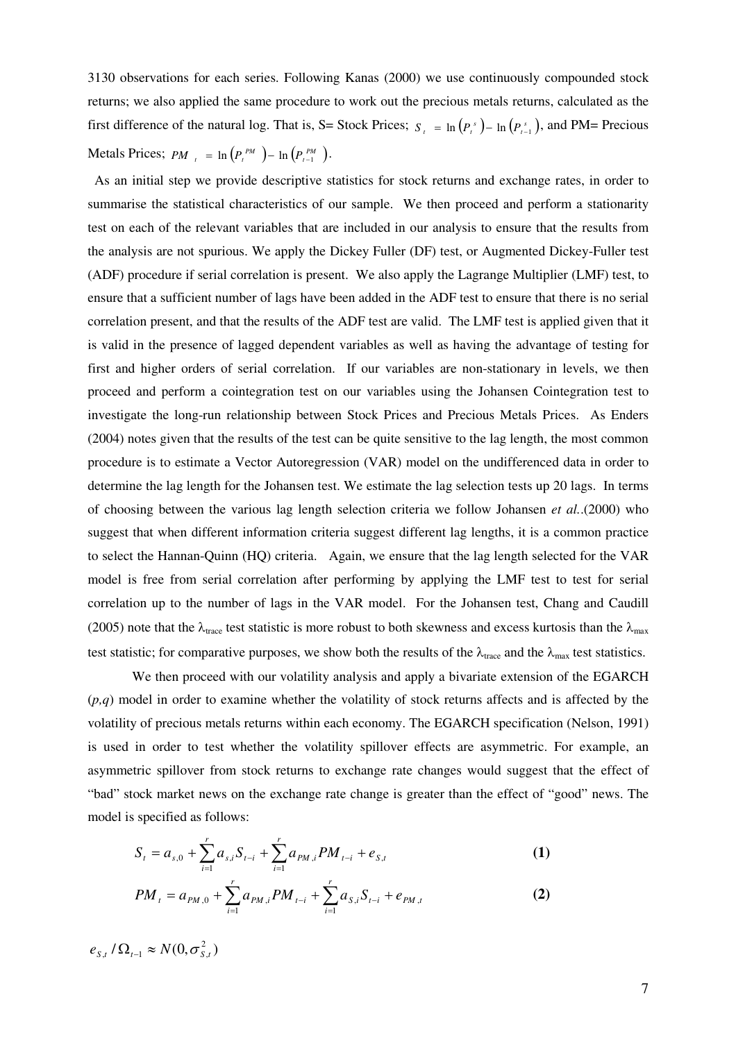3130 observations for each series. Following Kanas (2000) we use continuously compounded stock returns; we also applied the same procedure to work out the precious metals returns, calculated as the first difference of the natural log. That is, S= Stock Prices;  $S_t = \ln(P_t^s) - \ln(P_{t-1}^s)$ , and PM= Precious Metals Prices;  $PM_{t} = \ln (P_{t}^{PM}) - \ln (P_{t-1}^{PM}).$ 

 As an initial step we provide descriptive statistics for stock returns and exchange rates, in order to summarise the statistical characteristics of our sample. We then proceed and perform a stationarity test on each of the relevant variables that are included in our analysis to ensure that the results from the analysis are not spurious. We apply the Dickey Fuller (DF) test, or Augmented Dickey-Fuller test (ADF) procedure if serial correlation is present. We also apply the Lagrange Multiplier (LMF) test, to ensure that a sufficient number of lags have been added in the ADF test to ensure that there is no serial correlation present, and that the results of the ADF test are valid. The LMF test is applied given that it is valid in the presence of lagged dependent variables as well as having the advantage of testing for first and higher orders of serial correlation. If our variables are non-stationary in levels, we then proceed and perform a cointegration test on our variables using the Johansen Cointegration test to investigate the long-run relationship between Stock Prices and Precious Metals Prices. As Enders (2004) notes given that the results of the test can be quite sensitive to the lag length, the most common procedure is to estimate a Vector Autoregression (VAR) model on the undifferenced data in order to determine the lag length for the Johansen test. We estimate the lag selection tests up 20 lags. In terms of choosing between the various lag length selection criteria we follow Johansen *et al.*.(2000) who suggest that when different information criteria suggest different lag lengths, it is a common practice to select the Hannan-Quinn (HQ) criteria. Again, we ensure that the lag length selected for the VAR model is free from serial correlation after performing by applying the LMF test to test for serial correlation up to the number of lags in the VAR model. For the Johansen test, Chang and Caudill (2005) note that the  $\lambda_{\text{trace}}$  test statistic is more robust to both skewness and excess kurtosis than the  $\lambda_{\text{max}}$ test statistic; for comparative purposes, we show both the results of the  $\lambda_{\text{trace}}$  and the  $\lambda_{\text{max}}$  test statistics.

We then proceed with our volatility analysis and apply a bivariate extension of the EGARCH (*p,q*) model in order to examine whether the volatility of stock returns affects and is affected by the volatility of precious metals returns within each economy. The EGARCH specification (Nelson, 1991) is used in order to test whether the volatility spillover effects are asymmetric. For example, an asymmetric spillover from stock returns to exchange rate changes would suggest that the effect of "bad" stock market news on the exchange rate change is greater than the effect of "good" news. The model is specified as follows:

$$
S_{t} = a_{s,0} + \sum_{i=1}^{r} a_{s,i} S_{t-i} + \sum_{i=1}^{r} a_{PM,i} PM_{t-i} + e_{S,t}
$$
 (1)

$$
PM_{t} = a_{PM,0} + \sum_{i=1}^{r} a_{PM,i} PM_{t-i} + \sum_{i=1}^{r} a_{S,i} S_{t-i} + e_{PM,t}
$$
 (2)

 $e_{s,t}$  /  $\Omega_{t-1} \approx N(0, \sigma_{s,t}^2)$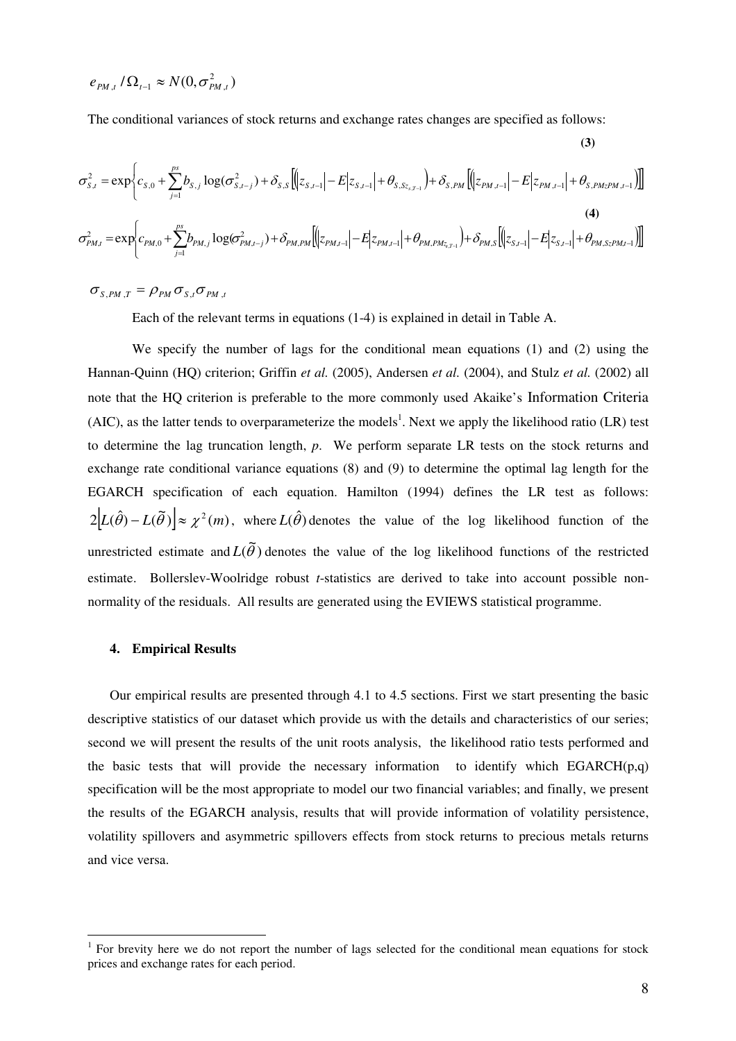$$
e_{\scriptscriptstyle PM,t}/\Omega_{\scriptscriptstyle t-1}\approx N(0,\sigma_{\scriptscriptstyle PM,t}^2)
$$

The conditional variances of stock returns and exchange rates changes are specified as follows:

$$
\sigma_{s,t}^{2} = \exp \bigg\{ c_{s,0} + \sum_{j=1}^{ps} b_{s,j} \log(\sigma_{s,t-j}^{2}) + \delta_{s,s} \big[ \big( z_{s,t-1} \big| - E \big| z_{s,t-1} \big| + \theta_{s,s} z_{s,t-1} \big) + \delta_{s,PM} \big[ \big( z_{PM,t-1} \big| - E \big| z_{PM,t-1} \big| + \theta_{s,PMzPM,t-1} \big) \big] \big]
$$
\n
$$
\sigma_{PM,t}^{2} = \exp \bigg\{ c_{PM,0} + \sum_{j=1}^{ps} b_{PM,j} \log(\sigma_{PM,t-j}^{2}) + \delta_{PM,PM} \big[ \big( z_{PM,t-1} \big| - E \big| z_{PM,t-1} \big| + \theta_{PM,PMz,t-1} \big) + \delta_{PM,s} \big[ \big( z_{S,t-1} \big| - E \big| z_{S,t-1} \big| + \theta_{PM,SzPM,t-1} \big) \big] \big]
$$
\n(4)

 $\sigma_{S,PM,T} = \rho_{PM} \sigma_{S,t} \sigma_{PM,t}$ 

Each of the relevant terms in equations (1-4) is explained in detail in Table A.

We specify the number of lags for the conditional mean equations (1) and (2) using the Hannan-Quinn (HQ) criterion; Griffin *et al.* (2005), Andersen *et al.* (2004), and Stulz *et al.* (2002) all note that the HQ criterion is preferable to the more commonly used Akaike's Information Criteria (AIC), as the latter tends to overparameterize the models<sup>1</sup>. Next we apply the likelihood ratio (LR) test to determine the lag truncation length, *p*. We perform separate LR tests on the stock returns and exchange rate conditional variance equations (8) and (9) to determine the optimal lag length for the EGARCH specification of each equation. Hamilton (1994) defines the LR test as follows:  $2|L(\hat{\theta}) - L(\tilde{\theta})| \approx \chi^2(m)$ , where  $L(\hat{\theta})$  denotes the value of the log likelihood function of the unrestricted estimate and  $L(\tilde{\theta})$  denotes the value of the log likelihood functions of the restricted estimate. Bollerslev-Woolridge robust *t*-statistics are derived to take into account possible nonnormality of the residuals. All results are generated using the EVIEWS statistical programme.

#### **4. Empirical Results**

 $\overline{a}$ 

Our empirical results are presented through 4.1 to 4.5 sections. First we start presenting the basic descriptive statistics of our dataset which provide us with the details and characteristics of our series; second we will present the results of the unit roots analysis, the likelihood ratio tests performed and the basic tests that will provide the necessary information to identify which  $EGARCH(p,q)$ specification will be the most appropriate to model our two financial variables; and finally, we present the results of the EGARCH analysis, results that will provide information of volatility persistence, volatility spillovers and asymmetric spillovers effects from stock returns to precious metals returns and vice versa.

 **(3)** 

<sup>&</sup>lt;sup>1</sup> For brevity here we do not report the number of lags selected for the conditional mean equations for stock prices and exchange rates for each period.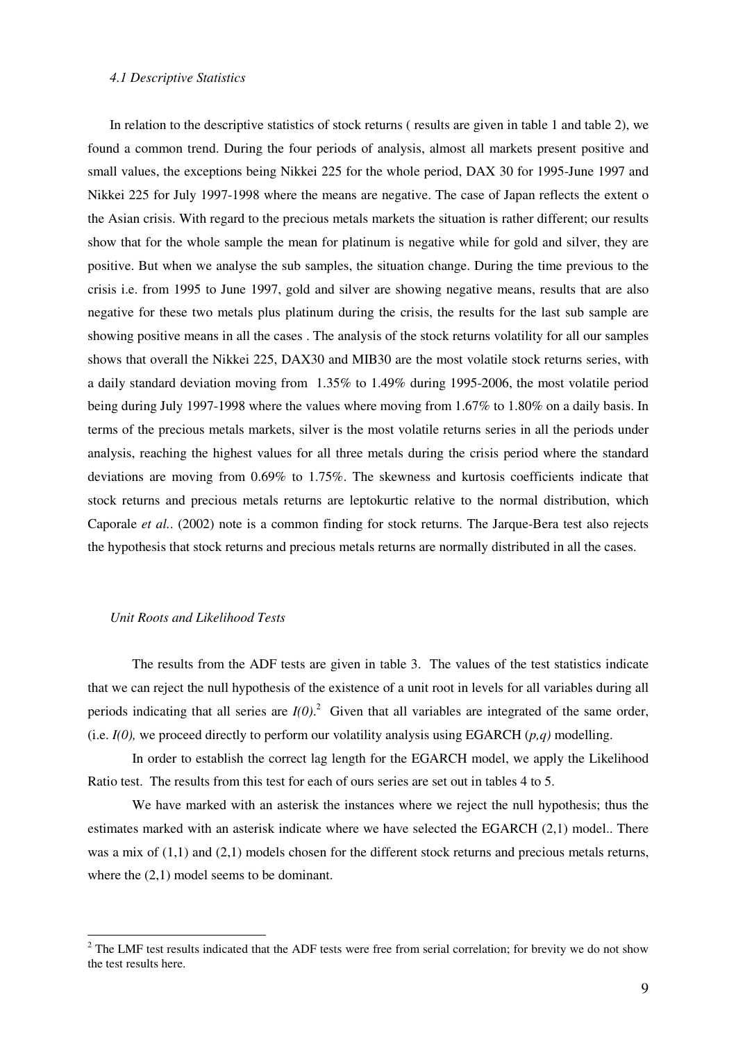#### *4.1 Descriptive Statistics*

In relation to the descriptive statistics of stock returns ( results are given in table 1 and table 2), we found a common trend. During the four periods of analysis, almost all markets present positive and small values, the exceptions being Nikkei 225 for the whole period, DAX 30 for 1995-June 1997 and Nikkei 225 for July 1997-1998 where the means are negative. The case of Japan reflects the extent o the Asian crisis. With regard to the precious metals markets the situation is rather different; our results show that for the whole sample the mean for platinum is negative while for gold and silver, they are positive. But when we analyse the sub samples, the situation change. During the time previous to the crisis i.e. from 1995 to June 1997, gold and silver are showing negative means, results that are also negative for these two metals plus platinum during the crisis, the results for the last sub sample are showing positive means in all the cases . The analysis of the stock returns volatility for all our samples shows that overall the Nikkei 225, DAX30 and MIB30 are the most volatile stock returns series, with a daily standard deviation moving from 1.35% to 1.49% during 1995-2006, the most volatile period being during July 1997-1998 where the values where moving from 1.67% to 1.80% on a daily basis. In terms of the precious metals markets, silver is the most volatile returns series in all the periods under analysis, reaching the highest values for all three metals during the crisis period where the standard deviations are moving from 0.69% to 1.75%. The skewness and kurtosis coefficients indicate that stock returns and precious metals returns are leptokurtic relative to the normal distribution, which Caporale *et al.*. (2002) note is a common finding for stock returns. The Jarque-Bera test also rejects the hypothesis that stock returns and precious metals returns are normally distributed in all the cases.

## *Unit Roots and Likelihood Tests*

 $\overline{a}$ 

The results from the ADF tests are given in table 3. The values of the test statistics indicate that we can reject the null hypothesis of the existence of a unit root in levels for all variables during all periods indicating that all series are  $I(0)$ .<sup>2</sup> Given that all variables are integrated of the same order, (i.e. *I(0),* we proceed directly to perform our volatility analysis using EGARCH (*p,q)* modelling.

In order to establish the correct lag length for the EGARCH model, we apply the Likelihood Ratio test. The results from this test for each of ours series are set out in tables 4 to 5.

We have marked with an asterisk the instances where we reject the null hypothesis; thus the estimates marked with an asterisk indicate where we have selected the EGARCH (2,1) model.. There was a mix of  $(1,1)$  and  $(2,1)$  models chosen for the different stock returns and precious metals returns, where the  $(2,1)$  model seems to be dominant.

 $2^2$  The LMF test results indicated that the ADF tests were free from serial correlation; for brevity we do not show the test results here.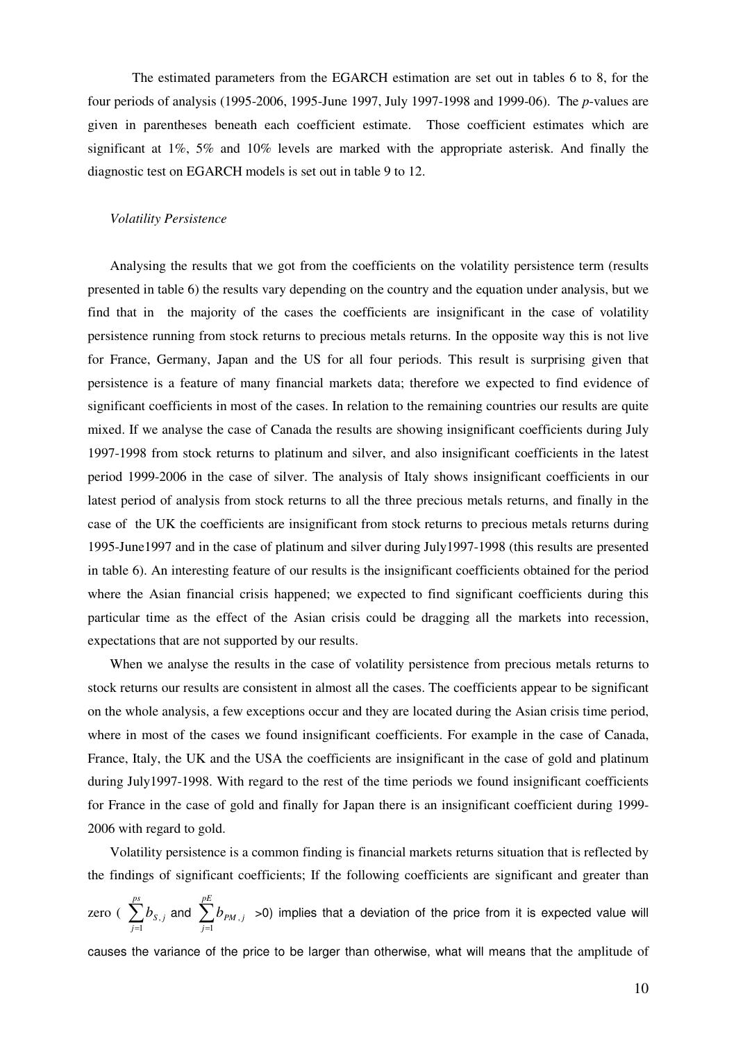The estimated parameters from the EGARCH estimation are set out in tables 6 to 8, for the four periods of analysis (1995-2006, 1995-June 1997, July 1997-1998 and 1999-06). The *p*-values are given in parentheses beneath each coefficient estimate. Those coefficient estimates which are significant at 1%, 5% and 10% levels are marked with the appropriate asterisk. And finally the diagnostic test on EGARCH models is set out in table 9 to 12.

#### *Volatility Persistence*

Analysing the results that we got from the coefficients on the volatility persistence term (results presented in table 6) the results vary depending on the country and the equation under analysis, but we find that in the majority of the cases the coefficients are insignificant in the case of volatility persistence running from stock returns to precious metals returns. In the opposite way this is not live for France, Germany, Japan and the US for all four periods. This result is surprising given that persistence is a feature of many financial markets data; therefore we expected to find evidence of significant coefficients in most of the cases. In relation to the remaining countries our results are quite mixed. If we analyse the case of Canada the results are showing insignificant coefficients during July 1997-1998 from stock returns to platinum and silver, and also insignificant coefficients in the latest period 1999-2006 in the case of silver. The analysis of Italy shows insignificant coefficients in our latest period of analysis from stock returns to all the three precious metals returns, and finally in the case of the UK the coefficients are insignificant from stock returns to precious metals returns during 1995-June1997 and in the case of platinum and silver during July1997-1998 (this results are presented in table 6). An interesting feature of our results is the insignificant coefficients obtained for the period where the Asian financial crisis happened; we expected to find significant coefficients during this particular time as the effect of the Asian crisis could be dragging all the markets into recession, expectations that are not supported by our results.

When we analyse the results in the case of volatility persistence from precious metals returns to stock returns our results are consistent in almost all the cases. The coefficients appear to be significant on the whole analysis, a few exceptions occur and they are located during the Asian crisis time period, where in most of the cases we found insignificant coefficients. For example in the case of Canada, France, Italy, the UK and the USA the coefficients are insignificant in the case of gold and platinum during July1997-1998. With regard to the rest of the time periods we found insignificant coefficients for France in the case of gold and finally for Japan there is an insignificant coefficient during 1999- 2006 with regard to gold.

Volatility persistence is a common finding is financial markets returns situation that is reflected by the findings of significant coefficients; If the following coefficients are significant and greater than

zero ( $\sum_{j=1}^{ps}$ *j*  $b_{\mathrm{s},j}$ 1 , and  $\sum_{j=1}^{pE}$ *j*  $b_{\scriptscriptstyle PM,j}$ 1  $_{,j}$   $>$ 0) implies that a deviation of the price from it is expected value will

causes the variance of the price to be larger than otherwise, what will means that the amplitude of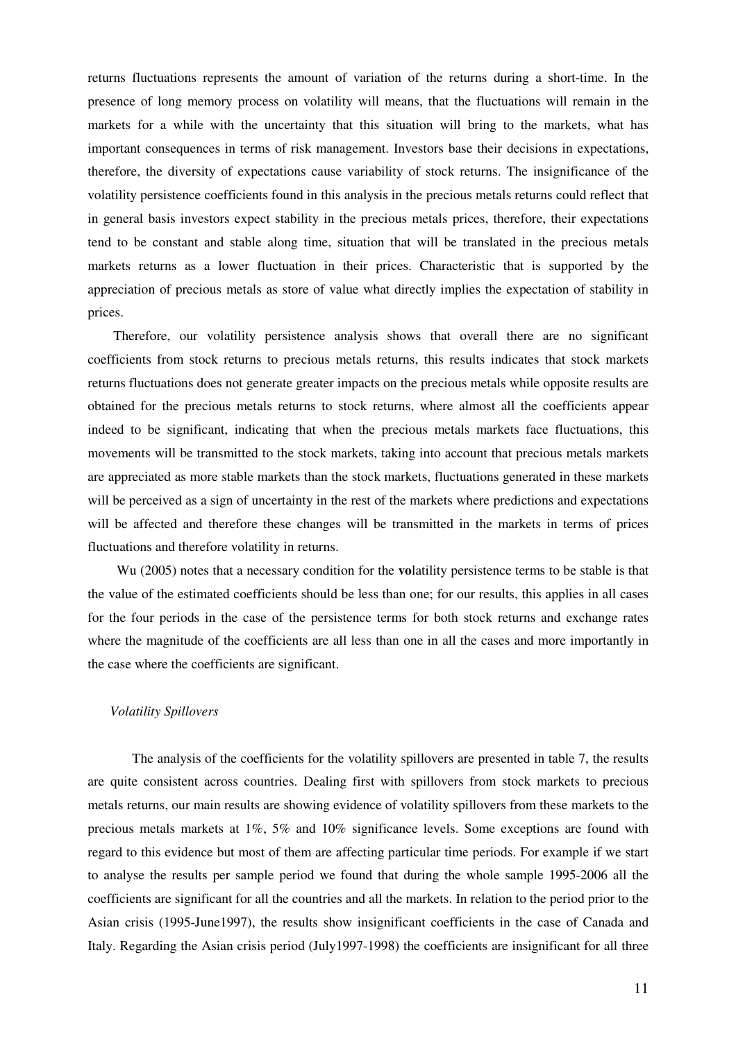returns fluctuations represents the amount of variation of the returns during a short-time. In the presence of long memory process on volatility will means, that the fluctuations will remain in the markets for a while with the uncertainty that this situation will bring to the markets, what has important consequences in terms of risk management. Investors base their decisions in expectations, therefore, the diversity of expectations cause variability of stock returns. The insignificance of the volatility persistence coefficients found in this analysis in the precious metals returns could reflect that in general basis investors expect stability in the precious metals prices, therefore, their expectations tend to be constant and stable along time, situation that will be translated in the precious metals markets returns as a lower fluctuation in their prices. Characteristic that is supported by the appreciation of precious metals as store of value what directly implies the expectation of stability in prices.

 Therefore, our volatility persistence analysis shows that overall there are no significant coefficients from stock returns to precious metals returns, this results indicates that stock markets returns fluctuations does not generate greater impacts on the precious metals while opposite results are obtained for the precious metals returns to stock returns, where almost all the coefficients appear indeed to be significant, indicating that when the precious metals markets face fluctuations, this movements will be transmitted to the stock markets, taking into account that precious metals markets are appreciated as more stable markets than the stock markets, fluctuations generated in these markets will be perceived as a sign of uncertainty in the rest of the markets where predictions and expectations will be affected and therefore these changes will be transmitted in the markets in terms of prices fluctuations and therefore volatility in returns.

 Wu (2005) notes that a necessary condition for the **vo**latility persistence terms to be stable is that the value of the estimated coefficients should be less than one; for our results, this applies in all cases for the four periods in the case of the persistence terms for both stock returns and exchange rates where the magnitude of the coefficients are all less than one in all the cases and more importantly in the case where the coefficients are significant.

#### *Volatility Spillovers*

The analysis of the coefficients for the volatility spillovers are presented in table 7, the results are quite consistent across countries. Dealing first with spillovers from stock markets to precious metals returns, our main results are showing evidence of volatility spillovers from these markets to the precious metals markets at 1%, 5% and 10% significance levels. Some exceptions are found with regard to this evidence but most of them are affecting particular time periods. For example if we start to analyse the results per sample period we found that during the whole sample 1995-2006 all the coefficients are significant for all the countries and all the markets. In relation to the period prior to the Asian crisis (1995-June1997), the results show insignificant coefficients in the case of Canada and Italy. Regarding the Asian crisis period (July1997-1998) the coefficients are insignificant for all three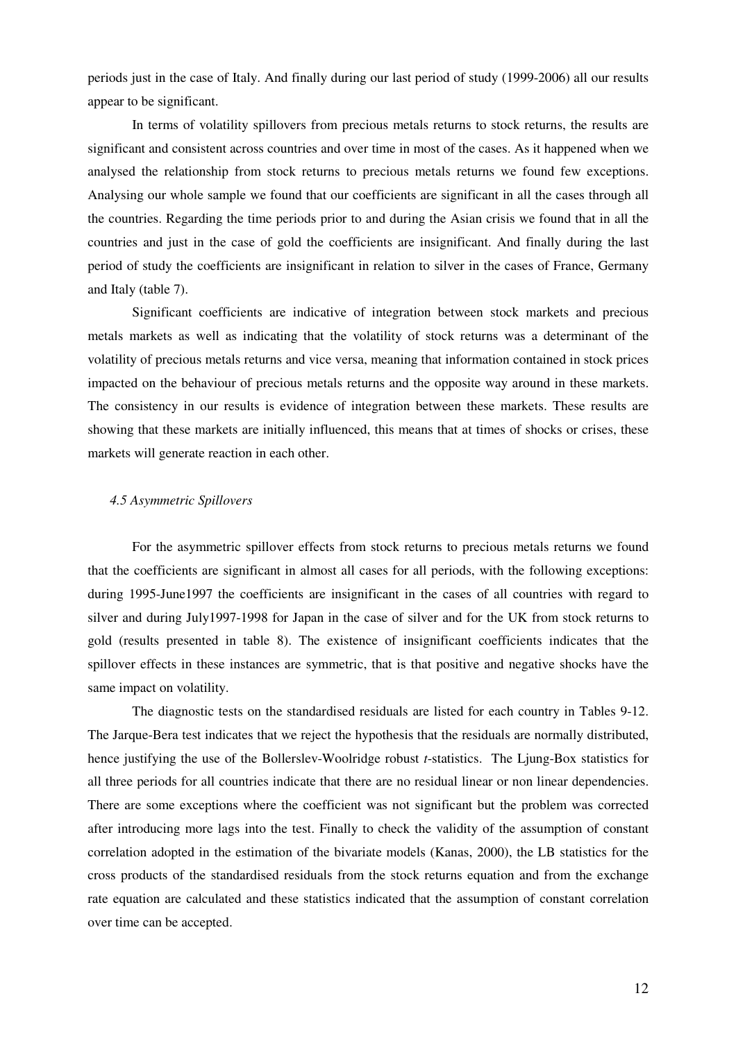periods just in the case of Italy. And finally during our last period of study (1999-2006) all our results appear to be significant.

In terms of volatility spillovers from precious metals returns to stock returns, the results are significant and consistent across countries and over time in most of the cases. As it happened when we analysed the relationship from stock returns to precious metals returns we found few exceptions. Analysing our whole sample we found that our coefficients are significant in all the cases through all the countries. Regarding the time periods prior to and during the Asian crisis we found that in all the countries and just in the case of gold the coefficients are insignificant. And finally during the last period of study the coefficients are insignificant in relation to silver in the cases of France, Germany and Italy (table 7).

Significant coefficients are indicative of integration between stock markets and precious metals markets as well as indicating that the volatility of stock returns was a determinant of the volatility of precious metals returns and vice versa, meaning that information contained in stock prices impacted on the behaviour of precious metals returns and the opposite way around in these markets. The consistency in our results is evidence of integration between these markets. These results are showing that these markets are initially influenced, this means that at times of shocks or crises, these markets will generate reaction in each other.

#### *4.5 Asymmetric Spillovers*

For the asymmetric spillover effects from stock returns to precious metals returns we found that the coefficients are significant in almost all cases for all periods, with the following exceptions: during 1995-June1997 the coefficients are insignificant in the cases of all countries with regard to silver and during July1997-1998 for Japan in the case of silver and for the UK from stock returns to gold (results presented in table 8). The existence of insignificant coefficients indicates that the spillover effects in these instances are symmetric, that is that positive and negative shocks have the same impact on volatility.

The diagnostic tests on the standardised residuals are listed for each country in Tables 9-12. The Jarque-Bera test indicates that we reject the hypothesis that the residuals are normally distributed, hence justifying the use of the Bollerslev-Woolridge robust *t*-statistics. The Ljung-Box statistics for all three periods for all countries indicate that there are no residual linear or non linear dependencies. There are some exceptions where the coefficient was not significant but the problem was corrected after introducing more lags into the test. Finally to check the validity of the assumption of constant correlation adopted in the estimation of the bivariate models (Kanas, 2000), the LB statistics for the cross products of the standardised residuals from the stock returns equation and from the exchange rate equation are calculated and these statistics indicated that the assumption of constant correlation over time can be accepted.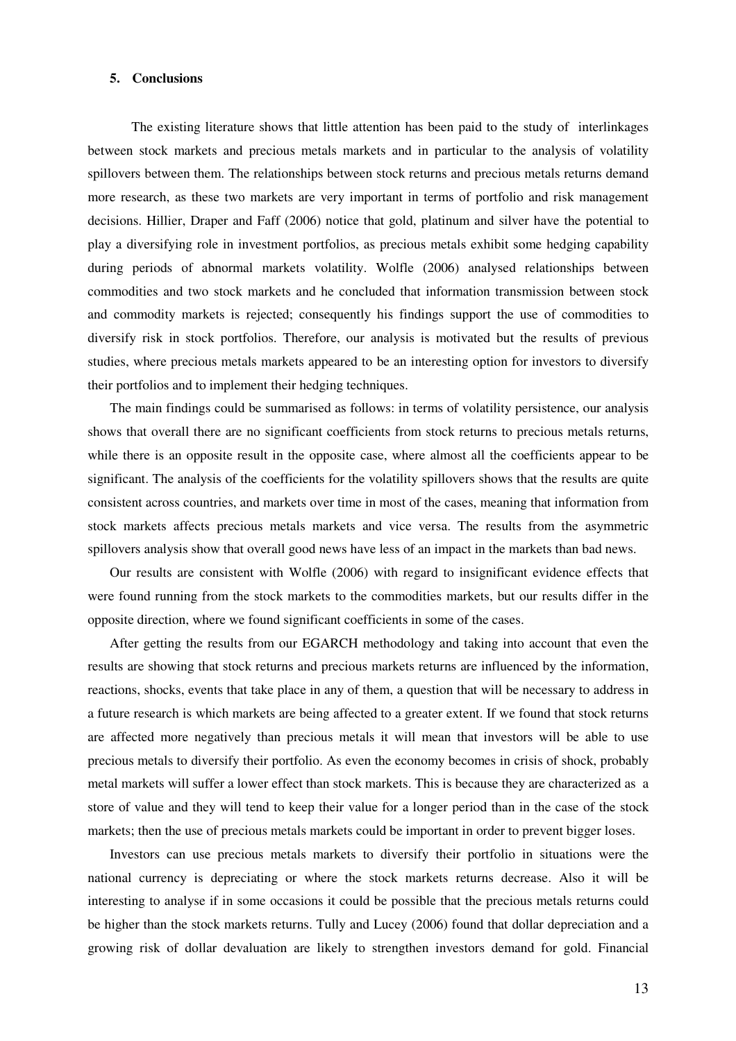## **5. Conclusions**

The existing literature shows that little attention has been paid to the study of interlinkages between stock markets and precious metals markets and in particular to the analysis of volatility spillovers between them. The relationships between stock returns and precious metals returns demand more research, as these two markets are very important in terms of portfolio and risk management decisions. Hillier, Draper and Faff (2006) notice that gold, platinum and silver have the potential to play a diversifying role in investment portfolios, as precious metals exhibit some hedging capability during periods of abnormal markets volatility. Wolfle (2006) analysed relationships between commodities and two stock markets and he concluded that information transmission between stock and commodity markets is rejected; consequently his findings support the use of commodities to diversify risk in stock portfolios. Therefore, our analysis is motivated but the results of previous studies, where precious metals markets appeared to be an interesting option for investors to diversify their portfolios and to implement their hedging techniques.

The main findings could be summarised as follows: in terms of volatility persistence, our analysis shows that overall there are no significant coefficients from stock returns to precious metals returns, while there is an opposite result in the opposite case, where almost all the coefficients appear to be significant. The analysis of the coefficients for the volatility spillovers shows that the results are quite consistent across countries, and markets over time in most of the cases, meaning that information from stock markets affects precious metals markets and vice versa. The results from the asymmetric spillovers analysis show that overall good news have less of an impact in the markets than bad news.

Our results are consistent with Wolfle (2006) with regard to insignificant evidence effects that were found running from the stock markets to the commodities markets, but our results differ in the opposite direction, where we found significant coefficients in some of the cases.

After getting the results from our EGARCH methodology and taking into account that even the results are showing that stock returns and precious markets returns are influenced by the information, reactions, shocks, events that take place in any of them, a question that will be necessary to address in a future research is which markets are being affected to a greater extent. If we found that stock returns are affected more negatively than precious metals it will mean that investors will be able to use precious metals to diversify their portfolio. As even the economy becomes in crisis of shock, probably metal markets will suffer a lower effect than stock markets. This is because they are characterized as a store of value and they will tend to keep their value for a longer period than in the case of the stock markets; then the use of precious metals markets could be important in order to prevent bigger loses.

Investors can use precious metals markets to diversify their portfolio in situations were the national currency is depreciating or where the stock markets returns decrease. Also it will be interesting to analyse if in some occasions it could be possible that the precious metals returns could be higher than the stock markets returns. Tully and Lucey (2006) found that dollar depreciation and a growing risk of dollar devaluation are likely to strengthen investors demand for gold. Financial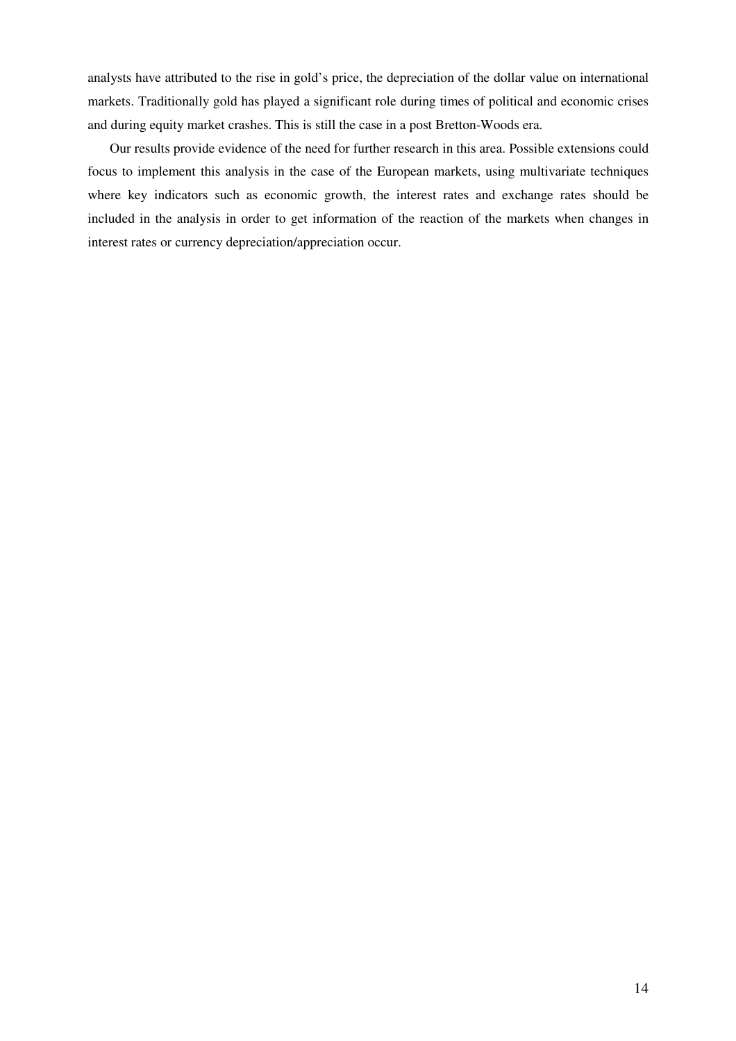analysts have attributed to the rise in gold's price, the depreciation of the dollar value on international markets. Traditionally gold has played a significant role during times of political and economic crises and during equity market crashes. This is still the case in a post Bretton-Woods era.

Our results provide evidence of the need for further research in this area. Possible extensions could focus to implement this analysis in the case of the European markets, using multivariate techniques where key indicators such as economic growth, the interest rates and exchange rates should be included in the analysis in order to get information of the reaction of the markets when changes in interest rates or currency depreciation/appreciation occur.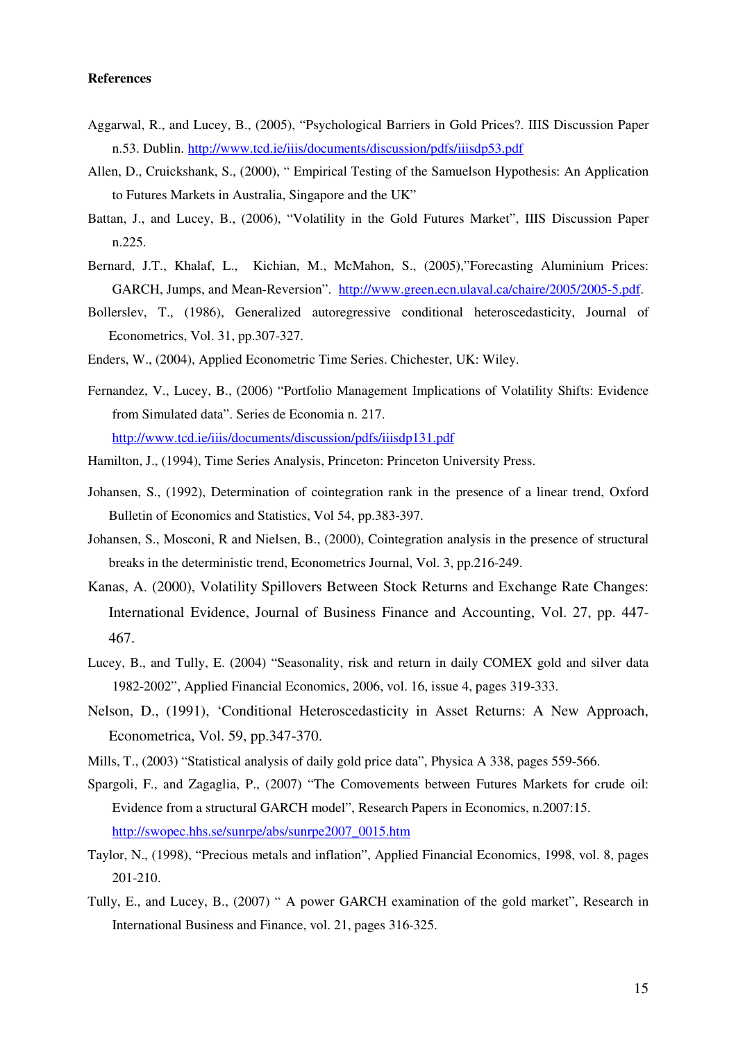# **References**

- Aggarwal, R., and Lucey, B., (2005), "Psychological Barriers in Gold Prices?. IIIS Discussion Paper n.53. Dublin. http://www.tcd.ie/iiis/documents/discussion/pdfs/iiisdp53.pdf
- Allen, D., Cruickshank, S., (2000), " Empirical Testing of the Samuelson Hypothesis: An Application to Futures Markets in Australia, Singapore and the UK"
- Battan, J., and Lucey, B., (2006), "Volatility in the Gold Futures Market", IIIS Discussion Paper n.225.
- Bernard, J.T., Khalaf, L., Kichian, M., McMahon, S., (2005),"Forecasting Aluminium Prices: GARCH, Jumps, and Mean-Reversion". http://www.green.ecn.ulaval.ca/chaire/2005/2005-5.pdf.
- Bollerslev, T., (1986), Generalized autoregressive conditional heteroscedasticity, Journal of Econometrics, Vol. 31, pp.307-327.
- Enders, W., (2004), Applied Econometric Time Series. Chichester, UK: Wiley.
- Fernandez, V., Lucey, B., (2006) "Portfolio Management Implications of Volatility Shifts: Evidence from Simulated data". Series de Economia n. 217. http://www.tcd.ie/iiis/documents/discussion/pdfs/iiisdp131.pdf
- Hamilton, J., (1994), Time Series Analysis, Princeton: Princeton University Press.
- Johansen, S., (1992), Determination of cointegration rank in the presence of a linear trend, Oxford Bulletin of Economics and Statistics, Vol 54, pp.383-397.
- Johansen, S., Mosconi, R and Nielsen, B., (2000), Cointegration analysis in the presence of structural breaks in the deterministic trend, Econometrics Journal, Vol. 3, pp.216-249.
- Kanas, A. (2000), Volatility Spillovers Between Stock Returns and Exchange Rate Changes: International Evidence, Journal of Business Finance and Accounting, Vol. 27, pp. 447- 467.
- Lucey, B., and Tully, E. (2004) "Seasonality, risk and return in daily COMEX gold and silver data 1982-2002", Applied Financial Economics, 2006, vol. 16, issue 4, pages 319-333.
- Nelson, D., (1991), 'Conditional Heteroscedasticity in Asset Returns: A New Approach, Econometrica, Vol. 59, pp.347-370.
- Mills, T., (2003) "Statistical analysis of daily gold price data", Physica A 338, pages 559-566.
- Spargoli, F., and Zagaglia, P., (2007) "The Comovements between Futures Markets for crude oil: Evidence from a structural GARCH model", Research Papers in Economics, n.2007:15. http://swopec.hhs.se/sunrpe/abs/sunrpe2007\_0015.htm
- Taylor, N., (1998), "Precious metals and inflation", Applied Financial Economics, 1998, vol. 8, pages 201-210.
- Tully, E., and Lucey, B., (2007) " A power GARCH examination of the gold market", Research in International Business and Finance, vol. 21, pages 316-325.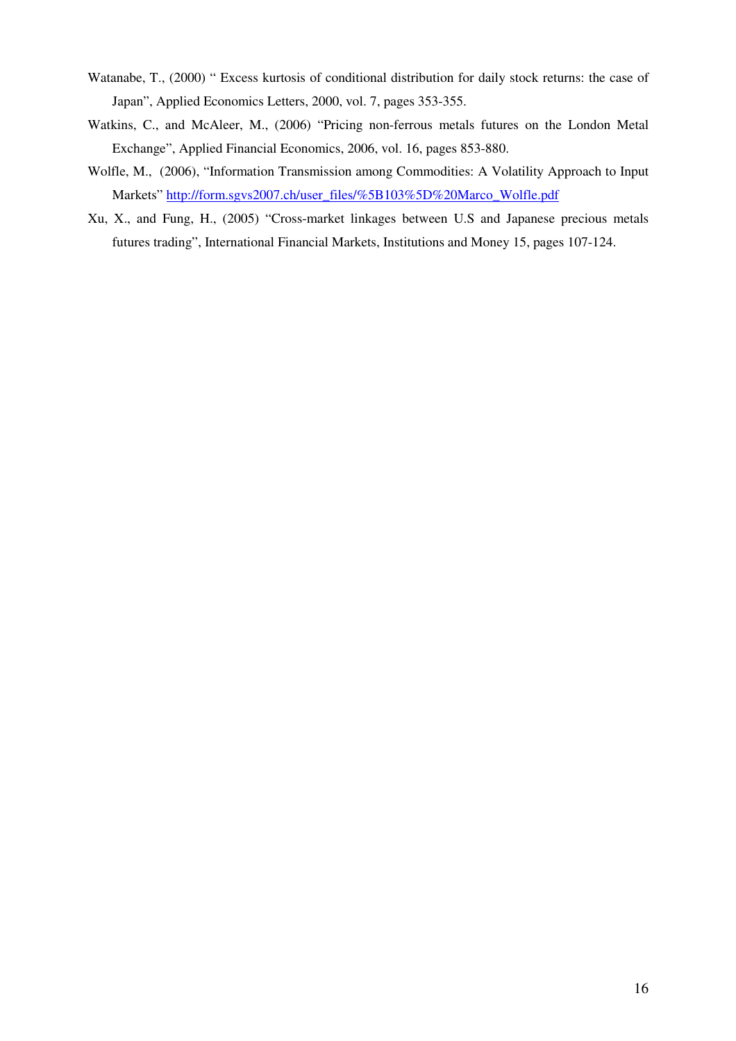- Watanabe, T., (2000) " Excess kurtosis of conditional distribution for daily stock returns: the case of Japan", Applied Economics Letters, 2000, vol. 7, pages 353-355.
- Watkins, C., and McAleer, M., (2006) "Pricing non-ferrous metals futures on the London Metal Exchange", Applied Financial Economics, 2006, vol. 16, pages 853-880.
- Wolfle, M., (2006), "Information Transmission among Commodities: A Volatility Approach to Input Markets" http://form.sgvs2007.ch/user\_files/%5B103%5D%20Marco\_Wolfle.pdf
- Xu, X., and Fung, H., (2005) "Cross-market linkages between U.S and Japanese precious metals futures trading", International Financial Markets, Institutions and Money 15, pages 107-124.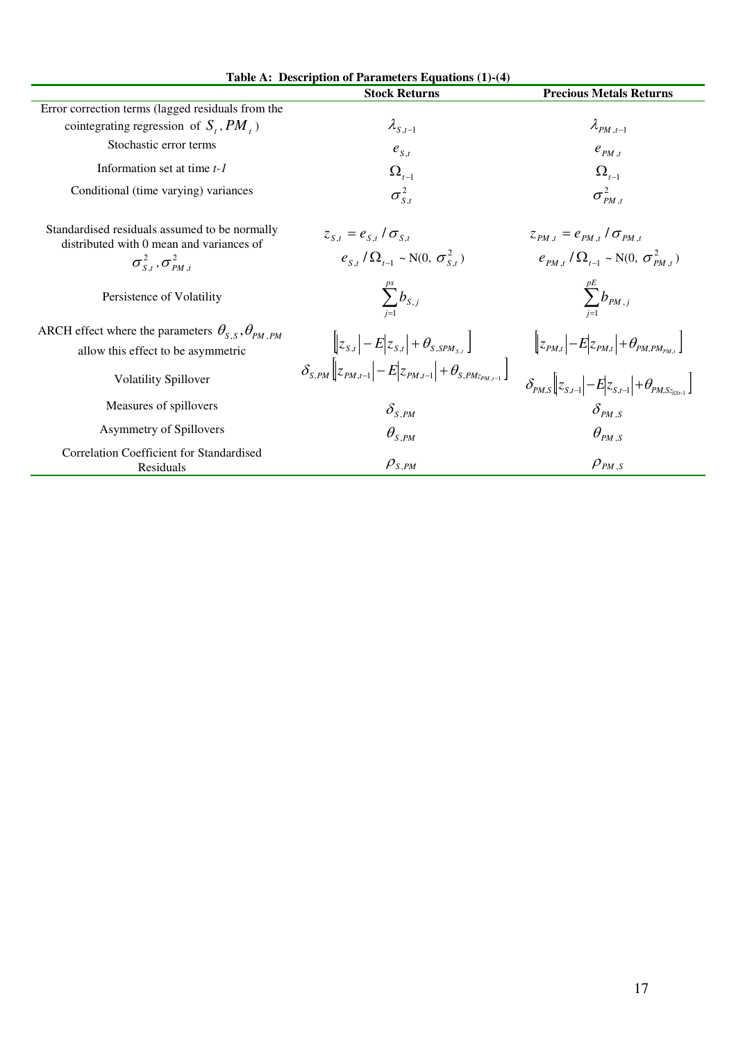|                                                                                                                                   | Table A: Description of Parameters Equations (1)-(4)                                                                                                                                                                                                       |                                                                                                                                                                                                                                                                                                                                                       |
|-----------------------------------------------------------------------------------------------------------------------------------|------------------------------------------------------------------------------------------------------------------------------------------------------------------------------------------------------------------------------------------------------------|-------------------------------------------------------------------------------------------------------------------------------------------------------------------------------------------------------------------------------------------------------------------------------------------------------------------------------------------------------|
|                                                                                                                                   | <b>Stock Returns</b>                                                                                                                                                                                                                                       | <b>Precious Metals Returns</b>                                                                                                                                                                                                                                                                                                                        |
| Error correction terms (lagged residuals from the                                                                                 |                                                                                                                                                                                                                                                            |                                                                                                                                                                                                                                                                                                                                                       |
| cointegrating regression of $S_t$ , $PM_t$ )                                                                                      | $\lambda_{S,t-1}$                                                                                                                                                                                                                                          | $\lambda_{PM,t-1}$                                                                                                                                                                                                                                                                                                                                    |
| Stochastic error terms                                                                                                            | $e_{S,t}$                                                                                                                                                                                                                                                  | $e_{PM,t}$                                                                                                                                                                                                                                                                                                                                            |
| Information set at time $t-1$                                                                                                     | $\Omega_{t-1}$                                                                                                                                                                                                                                             | $\Omega_{t-1}$                                                                                                                                                                                                                                                                                                                                        |
| Conditional (time varying) variances                                                                                              | $\sigma_{S,t}^2$                                                                                                                                                                                                                                           | $\sigma_{PM,t}^2$                                                                                                                                                                                                                                                                                                                                     |
| Standardised residuals assumed to be normally<br>distributed with 0 mean and variances of<br>$\sigma_{S,t}^2$ , $\sigma_{PM,t}^2$ | $z_{S,t} = e_{S,t} / \sigma_{S,t}$<br>$e_{s}$ , $\left(\Omega_{t-1} \sim N(0, \sigma_{s}^2)\right)$                                                                                                                                                        | $z_{PM,t} = e_{PM,t} / \sigma_{PM,t}$<br>$e_{p_M}$ , $\left(\Omega_{t-1} \sim N(0, \sigma_{p_M,t}^2)\right)$                                                                                                                                                                                                                                          |
|                                                                                                                                   |                                                                                                                                                                                                                                                            |                                                                                                                                                                                                                                                                                                                                                       |
| Persistence of Volatility                                                                                                         | $\sum_{s,j} b_{s,j}$                                                                                                                                                                                                                                       | $\sum_{i=1}^{p_E} b_{PM, j}$                                                                                                                                                                                                                                                                                                                          |
| ARCH effect where the parameters $\theta_{S,S}, \theta_{PM,PM}$                                                                   |                                                                                                                                                                                                                                                            |                                                                                                                                                                                                                                                                                                                                                       |
| allow this effect to be asymmetric                                                                                                | $\begin{bmatrix} \begin{bmatrix} z_{S,t} \end{bmatrix} - E & z_{S,t} \end{bmatrix} + \theta_{S,SPM_{S,t}} \end{bmatrix}$<br>$\delta_{S,PM} \begin{bmatrix} z_{PM,t-1} \end{bmatrix} - E & z_{PM,t-1} \end{bmatrix} + \theta_{S,PM_{ZM,t-1}} \end{bmatrix}$ |                                                                                                                                                                                                                                                                                                                                                       |
| <b>Volatility Spillover</b>                                                                                                       |                                                                                                                                                                                                                                                            | $\begin{aligned} &\left[\left z_{\textit{PM,t}}\right  {-} E \right  \! z_{\textit{PM,t}} \! \left  {+} \theta_{\textit{PM,PM_{\textit{PM,t}}}} \right] \right] \[5pt] &\delta_{\textit{PM,S}}\! \left[\!\left z_{\textit{S,t-l}}\right  {-} E \! \left z_{\textit{S,t-l}}\right  {+} \theta_{\textit{PM, Sz_{\textit{SS-l}}}} \right] \end{aligned}$ |
| Measures of spillovers                                                                                                            | $\delta_{_{S,PM}}$                                                                                                                                                                                                                                         | $\delta_{PMS}$                                                                                                                                                                                                                                                                                                                                        |
| Asymmetry of Spillovers                                                                                                           | $\theta_{s,PM}$                                                                                                                                                                                                                                            | $\theta_{PM,S}$                                                                                                                                                                                                                                                                                                                                       |
| Correlation Coefficient for Standardised<br>Residuals                                                                             | $\rho_{\scriptscriptstyle S,PM}$                                                                                                                                                                                                                           | $\rho_{\scriptscriptstyle PM,S}$                                                                                                                                                                                                                                                                                                                      |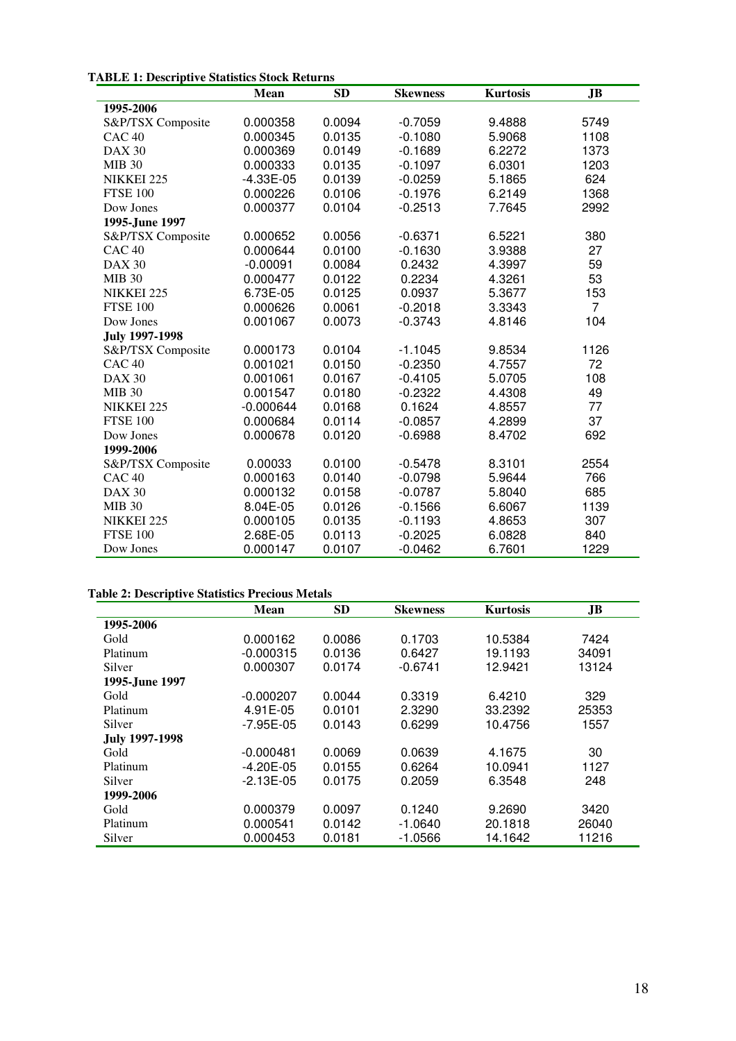# **TABLE 1: Descriptive Statistics Stock Returns**

|                       | Mean        | <b>SD</b> | <b>Skewness</b> | <b>Kurtosis</b> | JB             |
|-----------------------|-------------|-----------|-----------------|-----------------|----------------|
| 1995-2006             |             |           |                 |                 |                |
| S&P/TSX Composite     | 0.000358    | 0.0094    | $-0.7059$       | 9.4888          | 5749           |
| CAC <sub>40</sub>     | 0.000345    | 0.0135    | $-0.1080$       | 5.9068          | 1108           |
| <b>DAX 30</b>         | 0.000369    | 0.0149    | $-0.1689$       | 6.2272          | 1373           |
| <b>MIB 30</b>         | 0.000333    | 0.0135    | $-0.1097$       | 6.0301          | 1203           |
| NIKKEI 225            | $-4.33E-05$ | 0.0139    | $-0.0259$       | 5.1865          | 624            |
| <b>FTSE 100</b>       | 0.000226    | 0.0106    | $-0.1976$       | 6.2149          | 1368           |
| Dow Jones             | 0.000377    | 0.0104    | $-0.2513$       | 7.7645          | 2992           |
| 1995-June 1997        |             |           |                 |                 |                |
| S&P/TSX Composite     | 0.000652    | 0.0056    | $-0.6371$       | 6.5221          | 380            |
| CAC <sub>40</sub>     | 0.000644    | 0.0100    | $-0.1630$       | 3.9388          | 27             |
| <b>DAX 30</b>         | $-0.00091$  | 0.0084    | 0.2432          | 4.3997          | 59             |
| <b>MIB 30</b>         | 0.000477    | 0.0122    | 0.2234          | 4.3261          | 53             |
| NIKKEI 225            | 6.73E-05    | 0.0125    | 0.0937          | 5.3677          | 153            |
| <b>FTSE 100</b>       | 0.000626    | 0.0061    | $-0.2018$       | 3.3343          | $\overline{7}$ |
| Dow Jones             | 0.001067    | 0.0073    | $-0.3743$       | 4.8146          | 104            |
| <b>July 1997-1998</b> |             |           |                 |                 |                |
| S&P/TSX Composite     | 0.000173    | 0.0104    | $-1.1045$       | 9.8534          | 1126           |
| CAC <sub>40</sub>     | 0.001021    | 0.0150    | $-0.2350$       | 4.7557          | 72             |
| <b>DAX 30</b>         | 0.001061    | 0.0167    | $-0.4105$       | 5.0705          | 108            |
| <b>MIB 30</b>         | 0.001547    | 0.0180    | $-0.2322$       | 4.4308          | 49             |
| NIKKEI 225            | $-0.000644$ | 0.0168    | 0.1624          | 4.8557          | 77             |
| <b>FTSE 100</b>       | 0.000684    | 0.0114    | $-0.0857$       | 4.2899          | 37             |
| Dow Jones             | 0.000678    | 0.0120    | $-0.6988$       | 8.4702          | 692            |
| 1999-2006             |             |           |                 |                 |                |
| S&P/TSX Composite     | 0.00033     | 0.0100    | $-0.5478$       | 8.3101          | 2554           |
| CAC <sub>40</sub>     | 0.000163    | 0.0140    | $-0.0798$       | 5.9644          | 766            |
| <b>DAX 30</b>         | 0.000132    | 0.0158    | $-0.0787$       | 5.8040          | 685            |
| <b>MIB 30</b>         | 8.04E-05    | 0.0126    | $-0.1566$       | 6.6067          | 1139           |
| NIKKEI 225            | 0.000105    | 0.0135    | $-0.1193$       | 4.8653          | 307            |
| <b>FTSE 100</b>       | 2.68E-05    | 0.0113    | $-0.2025$       | 6.0828          | 840            |
| Dow Jones             | 0.000147    | 0.0107    | $-0.0462$       | 6.7601          | 1229           |

#### **Table 2: Descriptive Statistics Precious Metals**

|                       | Mean          | <b>SD</b> | <b>Skewness</b> | <b>Kurtosis</b> | JB.   |
|-----------------------|---------------|-----------|-----------------|-----------------|-------|
| 1995-2006             |               |           |                 |                 |       |
| Gold                  | 0.000162      | 0.0086    | 0.1703          | 10.5384         | 7424  |
| Platinum              | $-0.000315$   | 0.0136    | 0.6427          | 19.1193         | 34091 |
| Silver                | 0.000307      | 0.0174    | $-0.6741$       | 12.9421         | 13124 |
| 1995-June 1997        |               |           |                 |                 |       |
| Gold                  | $-0.000207$   | 0.0044    | 0.3319          | 6.4210          | 329   |
| Platinum              | 4.91E-05      | 0.0101    | 2.3290          | 33.2392         | 25353 |
| Silver                | $-7.95E - 05$ | 0.0143    | 0.6299          | 10.4756         | 1557  |
| <b>July 1997-1998</b> |               |           |                 |                 |       |
| Gold                  | $-0.000481$   | 0.0069    | 0.0639          | 4.1675          | 30    |
| Platinum              | $-4.20E - 05$ | 0.0155    | 0.6264          | 10.0941         | 1127  |
| Silver                | $-2.13E-05$   | 0.0175    | 0.2059          | 6.3548          | 248   |
| 1999-2006             |               |           |                 |                 |       |
| Gold                  | 0.000379      | 0.0097    | 0.1240          | 9.2690          | 3420  |
| Platinum              | 0.000541      | 0.0142    | $-1.0640$       | 20.1818         | 26040 |
| Silver                | 0.000453      | 0.0181    | $-1.0566$       | 14.1642         | 11216 |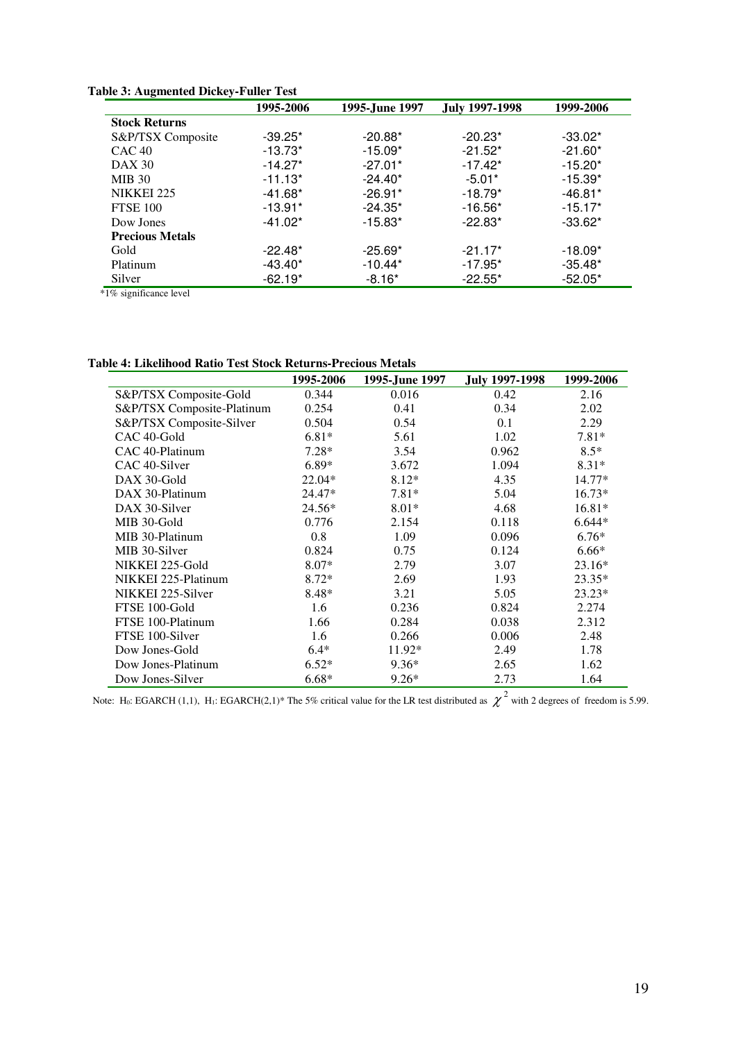|                        | 1995-2006 | 1995-June 1997 | <b>July 1997-1998</b> | 1999-2006 |
|------------------------|-----------|----------------|-----------------------|-----------|
| <b>Stock Returns</b>   |           |                |                       |           |
| S&P/TSX Composite      | $-39.25*$ | $-20.88*$      | $-20.23*$             | $-33.02*$ |
| CAC <sub>40</sub>      | $-13.73*$ | $-15.09*$      | $-21.52*$             | $-21.60*$ |
| <b>DAX 30</b>          | $-14.27*$ | $-27.01*$      | $-17.42*$             | $-15.20*$ |
| <b>MIB 30</b>          | $-11.13*$ | $-24.40*$      | $-5.01*$              | $-15.39*$ |
| NIKKEI 225             | $-41.68*$ | $-26.91*$      | $-18.79*$             | $-46.81*$ |
| <b>FTSE 100</b>        | $-13.91*$ | $-24.35*$      | $-16.56*$             | $-15.17*$ |
| Dow Jones              | $-41.02*$ | $-15.83*$      | $-22.83*$             | $-33.62*$ |
| <b>Precious Metals</b> |           |                |                       |           |
| Gold                   | $-22.48*$ | $-25.69*$      | $-21.17*$             | $-18.09*$ |
| Platinum               | $-43.40*$ | $-10.44*$      | $-17.95*$             | $-35.48*$ |
| Silver                 | $-62.19*$ | $-8.16*$       | $-22.55*$             | $-52.05*$ |

**Table 3: Augmented Dickey-Fuller Test** 

\*1% significance level

**Table 4: Likelihood Ratio Test Stock Returns-Precious Metals** 

|                            | 1995-2006 | 1995-June 1997 | <b>July 1997-1998</b> | 1999-2006 |
|----------------------------|-----------|----------------|-----------------------|-----------|
| S&P/TSX Composite-Gold     | 0.344     | 0.016          | 0.42                  | 2.16      |
| S&P/TSX Composite-Platinum | 0.254     | 0.41           | 0.34                  | 2.02      |
| S&P/TSX Composite-Silver   | 0.504     | 0.54           | 0.1                   | 2.29      |
| CAC 40-Gold                | $6.81*$   | 5.61           | 1.02                  | $7.81*$   |
| CAC 40-Platinum            | $7.28*$   | 3.54           | 0.962                 | $8.5*$    |
| CAC 40-Silver              | $6.89*$   | 3.672          | 1.094                 | $8.31*$   |
| DAX 30-Gold                | $22.04*$  | $8.12*$        | 4.35                  | $14.77*$  |
| DAX 30-Platinum            | 24.47*    | $7.81*$        | 5.04                  | $16.73*$  |
| DAX 30-Silver              | 24.56*    | $8.01*$        | 4.68                  | $16.81*$  |
| MIB 30-Gold                | 0.776     | 2.154          | 0.118                 | $6.644*$  |
| MIB 30-Platinum            | 0.8       | 1.09           | 0.096                 | $6.76*$   |
| MIB 30-Silver              | 0.824     | 0.75           | 0.124                 | $6.66*$   |
| NIKKEI 225-Gold            | $8.07*$   | 2.79           | 3.07                  | $23.16*$  |
| NIKKEI 225-Platinum        | $8.72*$   | 2.69           | 1.93                  | $23.35*$  |
| NIKKEI 225-Silver          | $8.48*$   | 3.21           | 5.05                  | $23.23*$  |
| FTSE 100-Gold              | 1.6       | 0.236          | 0.824                 | 2.274     |
| FTSE 100-Platinum          | 1.66      | 0.284          | 0.038                 | 2.312     |
| FTSE 100-Silver            | 1.6       | 0.266          | 0.006                 | 2.48      |
| Dow Jones-Gold             | $6.4*$    | 11.92*         | 2.49                  | 1.78      |
| Dow Jones-Platinum         | $6.52*$   | $9.36*$        | 2.65                  | 1.62      |
| Dow Jones-Silver           | $6.68*$   | $9.26*$        | 2.73                  | 1.64      |

Note: H<sub>0</sub>: EGARCH (1,1), H<sub>1</sub>: EGARCH(2,1)\* The 5% critical value for the LR test distributed as  $\chi^2$  with 2 degrees of freedom is 5.99.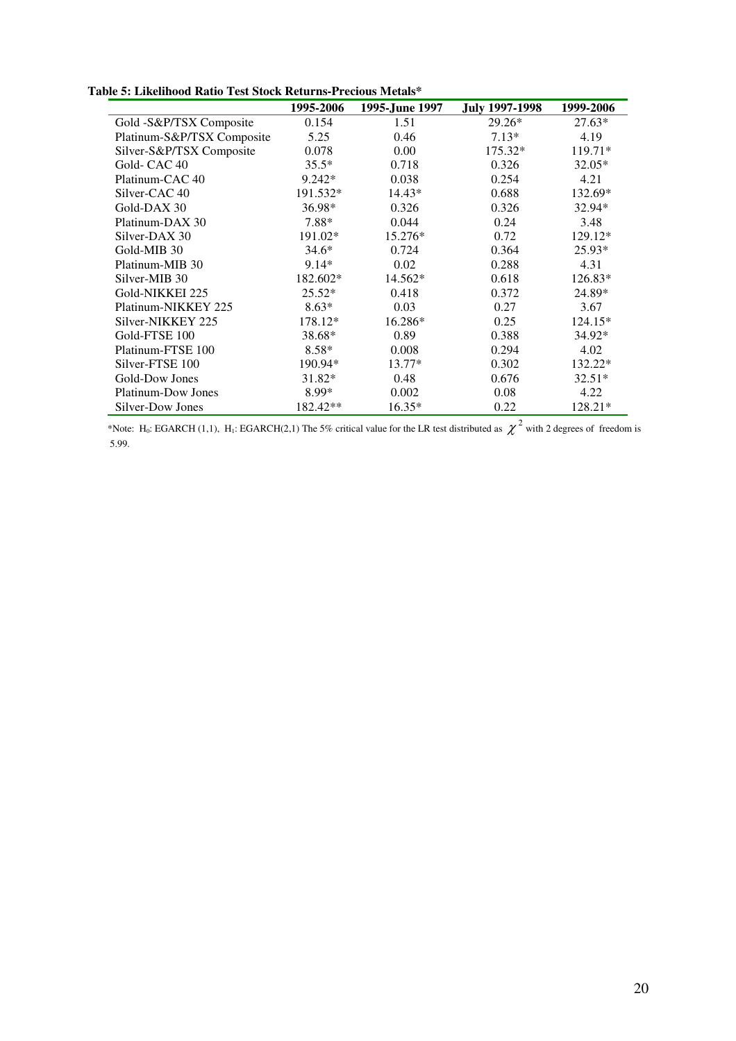**Table 5: Likelihood Ratio Test Stock Returns-Precious Metals\*** 

|                            | 1995-2006 | 1995-June 1997 | <b>July 1997-1998</b> | 1999-2006 |
|----------------------------|-----------|----------------|-----------------------|-----------|
| Gold -S&P/TSX Composite    | 0.154     | 1.51           | $29.26*$              | $27.63*$  |
| Platinum-S&P/TSX Composite | 5.25      | 0.46           | $7.13*$               | 4.19      |
| Silver-S&P/TSX Composite   | 0.078     | 0.00           | 175.32*               | 119.71*   |
| Gold-CAC <sub>40</sub>     | $35.5*$   | 0.718          | 0.326                 | $32.05*$  |
| Platinum-CAC 40            | 9.242*    | 0.038          | 0.254                 | 4.21      |
| Silver-CAC 40              | 191.532*  | 14.43*         | 0.688                 | 132.69*   |
| Gold-DAX 30                | 36.98*    | 0.326          | 0.326                 | 32.94*    |
| Platinum-DAX 30            | 7.88*     | 0.044          | 0.24                  | 3.48      |
| Silver-DAX 30              | 191.02*   | 15.276*        | 0.72                  | 129.12*   |
| Gold-MIB 30                | $34.6*$   | 0.724          | 0.364                 | $25.93*$  |
| Platinum-MIB 30            | $9.14*$   | 0.02           | 0.288                 | 4.31      |
| Silver-MIB 30              | 182.602*  | 14.562*        | 0.618                 | 126.83*   |
| Gold-NIKKEI 225            | $25.52*$  | 0.418          | 0.372                 | 24.89*    |
| Platinum-NIKKEY 225        | $8.63*$   | 0.03           | 0.27                  | 3.67      |
| Silver-NIKKEY 225          | 178.12*   | 16.286*        | 0.25                  | 124.15*   |
| Gold-FTSE 100              | 38.68*    | 0.89           | 0.388                 | 34.92*    |
| Platinum-FTSE 100          | $8.58*$   | 0.008          | 0.294                 | 4.02      |
| Silver-FTSE 100            | 190.94*   | $13.77*$       | 0.302                 | 132.22*   |
| Gold-Dow Jones             | 31.82*    | 0.48           | 0.676                 | $32.51*$  |
| Platinum-Dow Jones         | 8.99*     | 0.002          | 0.08                  | 4.22      |
| Silver-Dow Jones           | 182.42**  | $16.35*$       | 0.22                  | 128.21*   |

\*Note: H<sub>0</sub>: EGARCH (1,1), H<sub>1</sub>: EGARCH(2,1) The 5% critical value for the LR test distributed as  $\chi^2$  with 2 degrees of freedom is 5.99.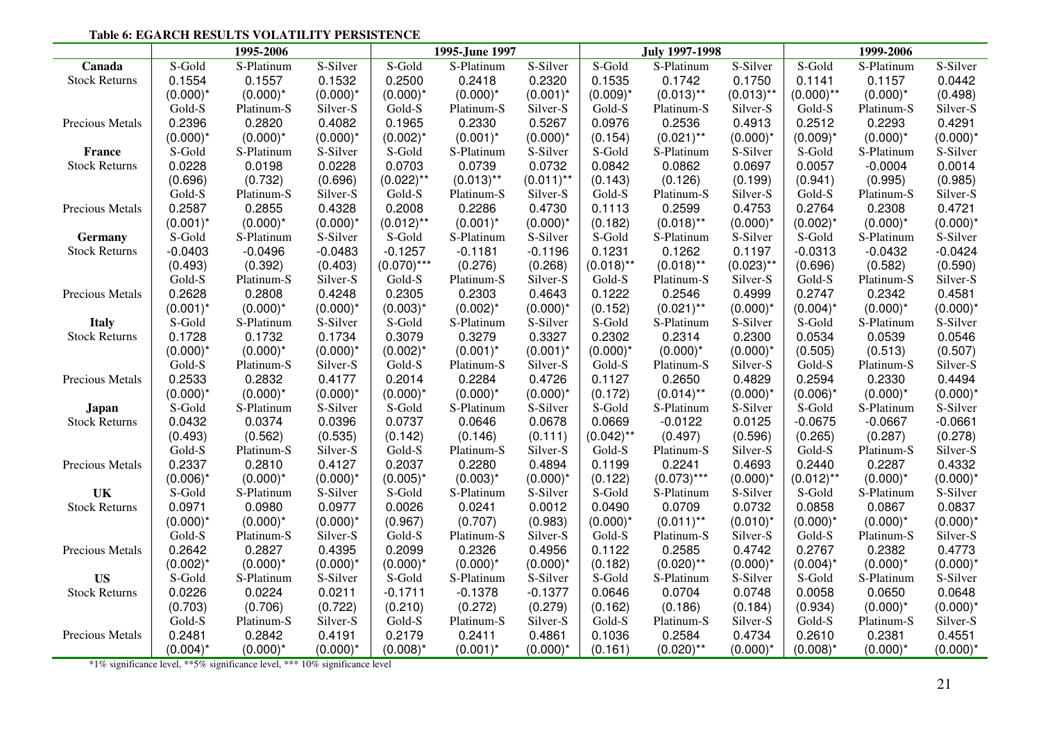#### **Table 6: EGARCH RESULTS VOLATILITY PERSISTENCE**

|                      |             | 1995-2006   |             |               | 1995-June 1997 |              |              | <b>July 1997-1998</b> |              |              | 1999-2006   |             |
|----------------------|-------------|-------------|-------------|---------------|----------------|--------------|--------------|-----------------------|--------------|--------------|-------------|-------------|
| Canada               | S-Gold      | S-Platinum  | S-Silver    | S-Gold        | S-Platinum     | S-Silver     | S-Gold       | S-Platinum            | S-Silver     | S-Gold       | S-Platinum  | S-Silver    |
| <b>Stock Returns</b> | 0.1554      | 0.1557      | 0.1532      | 0.2500        | 0.2418         | 0.2320       | 0.1535       | 0.1742                | 0.1750       | 0.1141       | 0.1157      | 0.0442      |
|                      | $(0.000)^*$ | $(0.000)^*$ | $(0.000)^*$ | $(0.000)^*$   | $(0.000)^*$    | $(0.001)^*$  | $(0.009)^*$  | $(0.013)$ **          | $(0.013)$ ** | $(0.000)$ ** | $(0.000)^*$ | (0.498)     |
|                      | Gold-S      | Platinum-S  | Silver-S    | Gold-S        | Platinum-S     | Silver-S     | Gold-S       | Platinum-S            | Silver-S     | Gold-S       | Platinum-S  | Silver-S    |
| Precious Metals      | 0.2396      | 0.2820      | 0.4082      | 0.1965        | 0.2330         | 0.5267       | 0.0976       | 0.2536                | 0.4913       | 0.2512       | 0.2293      | 0.4291      |
|                      | $(0.000)^*$ | $(0.000)^*$ | $(0.000)^*$ | $(0.002)^*$   | $(0.001)^*$    | $(0.000)^*$  | (0.154)      | $(0.021)$ **          | $(0.000)^*$  | $(0.009)^*$  | $(0.000)^*$ | $(0.000)^*$ |
| France               | S-Gold      | S-Platinum  | S-Silver    | S-Gold        | S-Platinum     | S-Silver     | S-Gold       | S-Platinum            | S-Silver     | S-Gold       | S-Platinum  | S-Silver    |
| <b>Stock Returns</b> | 0.0228      | 0.0198      | 0.0228      | 0.0703        | 0.0739         | 0.0732       | 0.0842       | 0.0862                | 0.0697       | 0.0057       | $-0.0004$   | 0.0014      |
|                      | (0.696)     | (0.732)     | (0.696)     | $(0.022)$ **  | $(0.013)$ **   | $(0.011)$ ** | (0.143)      | (0.126)               | (0.199)      | (0.941)      | (0.995)     | (0.985)     |
|                      | Gold-S      | Platinum-S  | Silver-S    | Gold-S        | Platinum-S     | Silver-S     | Gold-S       | Platinum-S            | Silver-S     | Gold-S       | Platinum-S  | Silver-S    |
| Precious Metals      | 0.2587      | 0.2855      | 0.4328      | 0.2008        | 0.2286         | 0.4730       | 0.1113       | 0.2599                | 0.4753       | 0.2764       | 0.2308      | 0.4721      |
|                      | $(0.001)^*$ | $(0.000)^*$ | $(0.000)^*$ | $(0.012)$ **  | $(0.001)^*$    | $(0.000)^*$  | (0.182)      | $(0.018)$ **          | $(0.000)^*$  | $(0.002)^*$  | $(0.000)^*$ | $(0.000)^*$ |
| Germany              | S-Gold      | S-Platinum  | S-Silver    | S-Gold        | S-Platinum     | S-Silver     | S-Gold       | S-Platinum            | S-Silver     | S-Gold       | S-Platinum  | S-Silver    |
| <b>Stock Returns</b> | $-0.0403$   | $-0.0496$   | $-0.0483$   | $-0.1257$     | $-0.1181$      | $-0.1196$    | 0.1231       | 0.1262                | 0.1197       | $-0.0313$    | $-0.0432$   | $-0.0424$   |
|                      | (0.493)     | (0.392)     | (0.403)     | $(0.070)$ *** | (0.276)        | (0.268)      | $(0.018)$ ** | $(0.018)$ **          | $(0.023)$ ** | (0.696)      | (0.582)     | (0.590)     |
|                      | Gold-S      | Platinum-S  | Silver-S    | Gold-S        | Platinum-S     | Silver-S     | Gold-S       | Platinum-S            | Silver-S     | Gold-S       | Platinum-S  | Silver-S    |
| Precious Metals      | 0.2628      | 0.2808      | 0.4248      | 0.2305        | 0.2303         | 0.4643       | 0.1222       | 0.2546                | 0.4999       | 0.2747       | 0.2342      | 0.4581      |
|                      | $(0.001)^*$ | $(0.000)^*$ | $(0.000)^*$ | $(0.003)^*$   | $(0.002)^*$    | $(0.000)^*$  | (0.152)      | $(0.021)$ **          | $(0.000)^*$  | $(0.004)^*$  | $(0.000)^*$ | $(0.000)^*$ |
| <b>Italy</b>         | S-Gold      | S-Platinum  | S-Silver    | S-Gold        | S-Platinum     | S-Silver     | S-Gold       | S-Platinum            | S-Silver     | S-Gold       | S-Platinum  | S-Silver    |
| <b>Stock Returns</b> | 0.1728      | 0.1732      | 0.1734      | 0.3079        | 0.3279         | 0.3327       | 0.2302       | 0.2314                | 0.2300       | 0.0534       | 0.0539      | 0.0546      |
|                      | $(0.000)^*$ | $(0.000)^*$ | $(0.000)^*$ | $(0.002)^*$   | $(0.001)^*$    | $(0.001)^*$  | $(0.000)^*$  | $(0.000)^*$           | $(0.000)^*$  | (0.505)      | (0.513)     | (0.507)     |
|                      | Gold-S      | Platinum-S  | Silver-S    | Gold-S        | Platinum-S     | Silver-S     | Gold-S       | Platinum-S            | Silver-S     | Gold-S       | Platinum-S  | Silver-S    |
| Precious Metals      | 0.2533      | 0.2832      | 0.4177      | 0.2014        | 0.2284         | 0.4726       | 0.1127       | 0.2650                | 0.4829       | 0.2594       | 0.2330      | 0.4494      |
|                      | $(0.000)^*$ | $(0.000)^*$ | $(0.000)^*$ | $(0.000)^*$   | $(0.000)^*$    | $(0.000)^*$  | (0.172)      | $(0.014)$ **          | $(0.000)^*$  | $(0.006)^*$  | $(0.000)^*$ | $(0.000)^*$ |
| Japan                | S-Gold      | S-Platinum  | S-Silver    | S-Gold        | S-Platinum     | S-Silver     | S-Gold       | S-Platinum            | S-Silver     | S-Gold       | S-Platinum  | S-Silver    |
| <b>Stock Returns</b> | 0.0432      | 0.0374      | 0.0396      | 0.0737        | 0.0646         | 0.0678       | 0.0669       | $-0.0122$             | 0.0125       | $-0.0675$    | $-0.0667$   | $-0.0661$   |
|                      | (0.493)     | (0.562)     | (0.535)     | (0.142)       | (0.146)        | (0.111)      | $(0.042)$ ** | (0.497)               | (0.596)      | (0.265)      | (0.287)     | (0.278)     |
|                      | Gold-S      | Platinum-S  | Silver-S    | Gold-S        | Platinum-S     | Silver-S     | Gold-S       | Platinum-S            | Silver-S     | Gold-S       | Platinum-S  | Silver-S    |
| Precious Metals      | 0.2337      | 0.2810      | 0.4127      | 0.2037        | 0.2280         | 0.4894       | 0.1199       | 0.2241                | 0.4693       | 0.2440       | 0.2287      | 0.4332      |
|                      | $(0.006)^*$ | $(0.000)^*$ | $(0.000)^*$ | $(0.005)^*$   | $(0.003)^*$    | $(0.000)^*$  | (0.122)      | $(0.073)$ ***         | $(0.000)^*$  | $(0.012)$ ** | $(0.000)^*$ | $(0.000)^*$ |
| UK                   | S-Gold      | S-Platinum  | S-Silver    | S-Gold        | S-Platinum     | S-Silver     | S-Gold       | S-Platinum            | S-Silver     | S-Gold       | S-Platinum  | S-Silver    |
| <b>Stock Returns</b> | 0.0971      | 0.0980      | 0.0977      | 0.0026        | 0.0241         | 0.0012       | 0.0490       | 0.0709                | 0.0732       | 0.0858       | 0.0867      | 0.0837      |
|                      | $(0.000)^*$ | $(0.000)^*$ | $(0.000)^*$ | (0.967)       | (0.707)        | (0.983)      | $(0.000)^*$  | $(0.011)$ **          | $(0.010)^*$  | $(0.000)^*$  | $(0.000)^*$ | $(0.000)^*$ |
|                      | Gold-S      | Platinum-S  | Silver-S    | Gold-S        | Platinum-S     | Silver-S     | Gold-S       | Platinum-S            | Silver-S     | Gold-S       | Platinum-S  | Silver-S    |
| Precious Metals      | 0.2642      | 0.2827      | 0.4395      | 0.2099        | 0.2326         | 0.4956       | 0.1122       | 0.2585                | 0.4742       | 0.2767       | 0.2382      | 0.4773      |
|                      | $(0.002)^*$ | $(0.000)^*$ | $(0.000)^*$ | $(0.000)^*$   | $(0.000)^*$    | $(0.000)^*$  | (0.182)      | $(0.020)$ **          | $(0.000)^*$  | $(0.004)^*$  | $(0.000)^*$ | $(0.000)^*$ |
| <b>US</b>            | S-Gold      | S-Platinum  | S-Silver    | S-Gold        | S-Platinum     | S-Silver     | S-Gold       | S-Platinum            | S-Silver     | S-Gold       | S-Platinum  | S-Silver    |
| <b>Stock Returns</b> | 0.0226      | 0.0224      | 0.0211      | $-0.1711$     | $-0.1378$      | $-0.1377$    | 0.0646       | 0.0704                | 0.0748       | 0.0058       | 0.0650      | 0.0648      |
|                      | (0.703)     | (0.706)     | (0.722)     | (0.210)       | (0.272)        | (0.279)      | (0.162)      | (0.186)               | (0.184)      | (0.934)      | $(0.000)^*$ | $(0.000)^*$ |
|                      | Gold-S      | Platinum-S  | Silver-S    | Gold-S        | Platinum-S     | Silver-S     | Gold-S       | Platinum-S            | Silver-S     | Gold-S       | Platinum-S  | Silver-S    |
| Precious Metals      | 0.2481      | 0.2842      | 0.4191      | 0.2179        | 0.2411         | 0.4861       | 0.1036       | 0.2584                | 0.4734       | 0.2610       | 0.2381      | 0.4551      |
|                      | $(0.004)^*$ | $(0.000)^*$ | $(0.000)^*$ | $(0.008)^*$   | $(0.001)^*$    | $(0.000)^*$  | (0.161)      | $(0.020)$ **          | $(0.000)^*$  | $(0.008)^*$  | $(0.000)^*$ | $(0.000)^*$ |

\*1% significance level, \*\*5% significance level, \*\*\* 10% significance level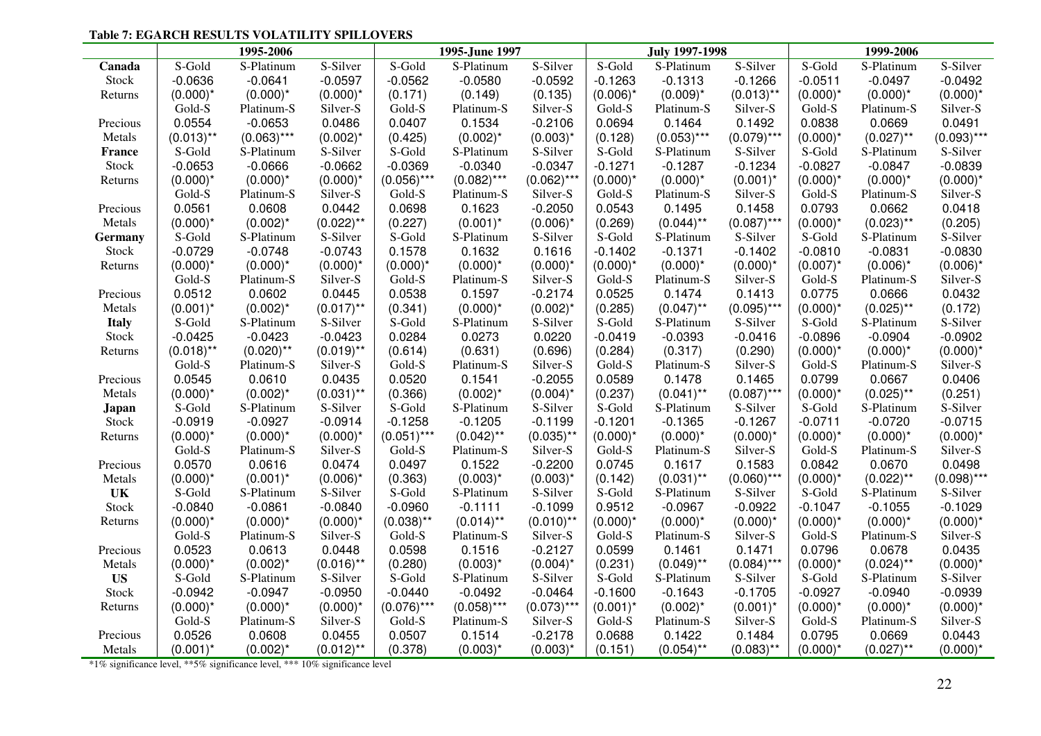## **Table 7: EGARCH RESULTS VOLATILITY SPILLOVERS**

|              |              | 1995-2006                                                                    |              |               | 1995-June 1997 |               |             | <b>July 1997-1998</b> |               |             | 1999-2006    |               |
|--------------|--------------|------------------------------------------------------------------------------|--------------|---------------|----------------|---------------|-------------|-----------------------|---------------|-------------|--------------|---------------|
| Canada       | S-Gold       | S-Platinum                                                                   | S-Silver     | S-Gold        | S-Platinum     | S-Silver      | S-Gold      | S-Platinum            | S-Silver      | S-Gold      | S-Platinum   | S-Silver      |
| Stock        | $-0.0636$    | $-0.0641$                                                                    | $-0.0597$    | $-0.0562$     | $-0.0580$      | $-0.0592$     | $-0.1263$   | $-0.1313$             | $-0.1266$     | $-0.0511$   | $-0.0497$    | $-0.0492$     |
| Returns      | $(0.000)^*$  | $(0.000)^*$                                                                  | $(0.000)^*$  | (0.171)       | (0.149)        | (0.135)       | $(0.006)^*$ | $(0.009)^*$           | $(0.013)$ **  | $(0.000)^*$ | $(0.000)^*$  | $(0.000)^*$   |
|              | Gold-S       | Platinum-S                                                                   | Silver-S     | Gold-S        | Platinum-S     | Silver-S      | Gold-S      | Platinum-S            | Silver-S      | Gold-S      | Platinum-S   | Silver-S      |
| Precious     | 0.0554       | $-0.0653$                                                                    | 0.0486       | 0.0407        | 0.1534         | $-0.2106$     | 0.0694      | 0.1464                | 0.1492        | 0.0838      | 0.0669       | 0.0491        |
| Metals       | $(0.013)$ ** | $(0.063)$ ***                                                                | $(0.002)^*$  | (0.425)       | $(0.002)^*$    | $(0.003)^*$   | (0.128)     | $(0.053)$ ***         | $(0.079)$ *** | $(0.000)^*$ | $(0.027)$ ** | $(0.093)$ *** |
| France       | S-Gold       | S-Platinum                                                                   | S-Silver     | S-Gold        | S-Platinum     | S-Silver      | S-Gold      | S-Platinum            | S-Silver      | S-Gold      | S-Platinum   | S-Silver      |
| Stock        | $-0.0653$    | $-0.0666$                                                                    | $-0.0662$    | $-0.0369$     | $-0.0340$      | $-0.0347$     | $-0.1271$   | $-0.1287$             | $-0.1234$     | $-0.0827$   | $-0.0847$    | $-0.0839$     |
| Returns      | $(0.000)^*$  | $(0.000)^*$                                                                  | $(0.000)^*$  | $(0.056)$ *** | $(0.082)$ ***  | $(0.062)$ *** | $(0.000)^*$ | $(0.000)^*$           | $(0.001)^*$   | $(0.000)^*$ | $(0.000)^*$  | $(0.000)^*$   |
|              | Gold-S       | Platinum-S                                                                   | Silver-S     | Gold-S        | Platinum-S     | Silver-S      | Gold-S      | Platinum-S            | Silver-S      | Gold-S      | Platinum-S   | Silver-S      |
| Precious     | 0.0561       | 0.0608                                                                       | 0.0442       | 0.0698        | 0.1623         | $-0.2050$     | 0.0543      | 0.1495                | 0.1458        | 0.0793      | 0.0662       | 0.0418        |
| Metals       | $(0.000)^*$  | $(0.002)^*$                                                                  | $(0.022)$ ** | (0.227)       | $(0.001)^*$    | $(0.006)^*$   | (0.269)     | $(0.044)$ **          | $(0.087)$ *** | $(0.000)^*$ | $(0.023)$ ** | (0.205)       |
| Germany      | S-Gold       | S-Platinum                                                                   | S-Silver     | S-Gold        | S-Platinum     | S-Silver      | S-Gold      | S-Platinum            | S-Silver      | S-Gold      | S-Platinum   | S-Silver      |
| Stock        | $-0.0729$    | $-0.0748$                                                                    | $-0.0743$    | 0.1578        | 0.1632         | 0.1616        | $-0.1402$   | $-0.1371$             | $-0.1402$     | $-0.0810$   | $-0.0831$    | $-0.0830$     |
| Returns      | $(0.000)^*$  | $(0.000)^*$                                                                  | $(0.000)^*$  | $(0.000)^*$   | $(0.000)^*$    | $(0.000)^*$   | $(0.000)^*$ | $(0.000)^*$           | $(0.000)^*$   | $(0.007)^*$ | $(0.006)^*$  | $(0.006)^*$   |
|              | Gold-S       | Platinum-S                                                                   | Silver-S     | Gold-S        | Platinum-S     | Silver-S      | Gold-S      | Platinum-S            | Silver-S      | Gold-S      | Platinum-S   | Silver-S      |
| Precious     | 0.0512       | 0.0602                                                                       | 0.0445       | 0.0538        | 0.1597         | $-0.2174$     | 0.0525      | 0.1474                | 0.1413        | 0.0775      | 0.0666       | 0.0432        |
| Metals       | $(0.001)^*$  | $(0.002)^*$                                                                  | $(0.017)$ ** | (0.341)       | $(0.000)^*$    | $(0.002)^*$   | (0.285)     | $(0.047)$ **          | $(0.095)$ *** | $(0.000)^*$ | $(0.025)$ ** | (0.172)       |
| <b>Italy</b> | S-Gold       | S-Platinum                                                                   | S-Silver     | S-Gold        | S-Platinum     | S-Silver      | S-Gold      | S-Platinum            | S-Silver      | S-Gold      | S-Platinum   | S-Silver      |
| Stock        | $-0.0425$    | $-0.0423$                                                                    | $-0.0423$    | 0.0284        | 0.0273         | 0.0220        | $-0.0419$   | $-0.0393$             | $-0.0416$     | $-0.0896$   | $-0.0904$    | $-0.0902$     |
| Returns      | $(0.018)$ ** | $(0.020)$ **                                                                 | $(0.019)$ ** | (0.614)       | (0.631)        | (0.696)       | (0.284)     | (0.317)               | (0.290)       | $(0.000)^*$ | $(0.000)^*$  | $(0.000)^*$   |
|              | Gold-S       | Platinum-S                                                                   | Silver-S     | Gold-S        | Platinum-S     | Silver-S      | Gold-S      | Platinum-S            | Silver-S      | Gold-S      | Platinum-S   | Silver-S      |
| Precious     | 0.0545       | 0.0610                                                                       | 0.0435       | 0.0520        | 0.1541         | $-0.2055$     | 0.0589      | 0.1478                | 0.1465        | 0.0799      | 0.0667       | 0.0406        |
| Metals       | $(0.000)^*$  | $(0.002)^*$                                                                  | $(0.031)$ ** | (0.366)       | $(0.002)^*$    | $(0.004)^*$   | (0.237)     | $(0.041)$ **          | $(0.087)$ *** | $(0.000)^*$ | $(0.025)$ ** | (0.251)       |
| Japan        | S-Gold       | S-Platinum                                                                   | S-Silver     | S-Gold        | S-Platinum     | S-Silver      | S-Gold      | S-Platinum            | S-Silver      | S-Gold      | S-Platinum   | S-Silver      |
| Stock        | $-0.0919$    | $-0.0927$                                                                    | $-0.0914$    | $-0.1258$     | $-0.1205$      | $-0.1199$     | $-0.1201$   | $-0.1365$             | $-0.1267$     | $-0.0711$   | $-0.0720$    | $-0.0715$     |
| Returns      | $(0.000)^*$  | $(0.000)^*$                                                                  | $(0.000)^*$  | $(0.051)***$  | $(0.042)$ **   | $(0.035)$ **  | $(0.000)^*$ | $(0.000)^*$           | $(0.000)^*$   | $(0.000)^*$ | $(0.000)^*$  | $(0.000)^*$   |
|              | Gold-S       | Platinum-S                                                                   | Silver-S     | Gold-S        | Platinum-S     | Silver-S      | Gold-S      | Platinum-S            | Silver-S      | Gold-S      | Platinum-S   | Silver-S      |
| Precious     | 0.0570       | 0.0616                                                                       | 0.0474       | 0.0497        | 0.1522         | $-0.2200$     | 0.0745      | 0.1617                | 0.1583        | 0.0842      | 0.0670       | 0.0498        |
| Metals       | $(0.000)^*$  | $(0.001)^*$                                                                  | $(0.006)^*$  | (0.363)       | $(0.003)^*$    | $(0.003)^*$   | (0.142)     | $(0.031)$ **          | $(0.060)$ *** | $(0.000)^*$ | $(0.022)$ ** | $(0.098)***$  |
| UK           | S-Gold       | S-Platinum                                                                   | S-Silver     | S-Gold        | S-Platinum     | S-Silver      | S-Gold      | S-Platinum            | S-Silver      | S-Gold      | S-Platinum   | S-Silver      |
| Stock        | $-0.0840$    | $-0.0861$                                                                    | $-0.0840$    | $-0.0960$     | $-0.1111$      | $-0.1099$     | 0.9512      | $-0.0967$             | $-0.0922$     | $-0.1047$   | $-0.1055$    | $-0.1029$     |
| Returns      | $(0.000)^*$  | $(0.000)^*$                                                                  | $(0.000)^*$  | $(0.038)$ **  | $(0.014)$ **   | $(0.010)$ **  | $(0.000)^*$ | $(0.000)^*$           | $(0.000)^*$   | $(0.000)^*$ | $(0.000)^*$  | $(0.000)^*$   |
|              | Gold-S       | Platinum-S                                                                   | Silver-S     | Gold-S        | Platinum-S     | Silver-S      | Gold-S      | Platinum-S            | Silver-S      | Gold-S      | Platinum-S   | Silver-S      |
| Precious     | 0.0523       | 0.0613                                                                       | 0.0448       | 0.0598        | 0.1516         | $-0.2127$     | 0.0599      | 0.1461                | 0.1471        | 0.0796      | 0.0678       | 0.0435        |
| Metals       | $(0.000)^*$  | $(0.002)^*$                                                                  | $(0.016)$ ** | (0.280)       | $(0.003)^*$    | $(0.004)^*$   | (0.231)     | $(0.049)$ **          | $(0.084)$ *** | $(0.000)^*$ | $(0.024)$ ** | $(0.000)^*$   |
| <b>US</b>    | S-Gold       | S-Platinum                                                                   | S-Silver     | S-Gold        | S-Platinum     | S-Silver      | S-Gold      | S-Platinum            | S-Silver      | S-Gold      | S-Platinum   | S-Silver      |
| Stock        | $-0.0942$    | $-0.0947$                                                                    | $-0.0950$    | $-0.0440$     | $-0.0492$      | $-0.0464$     | $-0.1600$   | $-0.1643$             | $-0.1705$     | $-0.0927$   | $-0.0940$    | $-0.0939$     |
| Returns      | $(0.000)^*$  | $(0.000)^*$                                                                  | $(0.000)^*$  | $(0.076)$ *** | $(0.058)$ ***  | $(0.073)$ *** | $(0.001)^*$ | $(0.002)^*$           | $(0.001)^*$   | $(0.000)^*$ | $(0.000)^*$  | $(0.000)^*$   |
|              | Gold-S       | Platinum-S                                                                   | Silver-S     | Gold-S        | Platinum-S     | Silver-S      | Gold-S      | Platinum-S            | Silver-S      | Gold-S      | Platinum-S   | Silver-S      |
| Precious     | 0.0526       | 0.0608                                                                       | 0.0455       | 0.0507        | 0.1514         | $-0.2178$     | 0.0688      | 0.1422                | 0.1484        | 0.0795      | 0.0669       | 0.0443        |
| Metals       | $(0.001)^*$  | $(0.002)^*$                                                                  | $(0.012)$ ** | (0.378)       | $(0.003)^*$    | $(0.003)^*$   | (0.151)     | $(0.054)$ **          | $(0.083)$ **  | $(0.000)^*$ | $(0.027)$ ** | $(0.000)^*$   |
|              |              | *1% significance level, ** 5% significance level, *** 10% significance level |              |               |                |               |             |                       |               |             |              |               |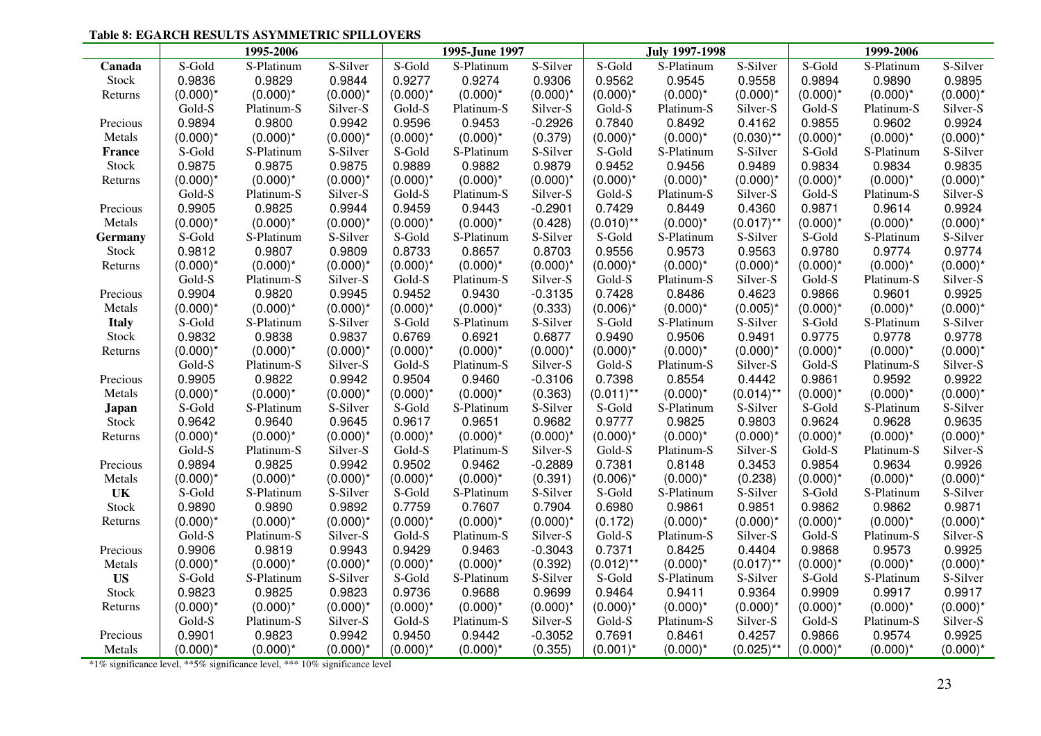#### **Table 8: EGARCH RESULTS ASYMMETRIC SPILLOVERS**

|                |             | 1995-2006                                                                   |             |             | 1995-June 1997 |             |              | <b>July 1997-1998</b> |              |             | 1999-2006   |             |
|----------------|-------------|-----------------------------------------------------------------------------|-------------|-------------|----------------|-------------|--------------|-----------------------|--------------|-------------|-------------|-------------|
| Canada         | S-Gold      | S-Platinum                                                                  | S-Silver    | S-Gold      | S-Platinum     | S-Silver    | S-Gold       | S-Platinum            | S-Silver     | S-Gold      | S-Platinum  | S-Silver    |
| Stock          | 0.9836      | 0.9829                                                                      | 0.9844      | 0.9277      | 0.9274         | 0.9306      | 0.9562       | 0.9545                | 0.9558       | 0.9894      | 0.9890      | 0.9895      |
| Returns        | $(0.000)^*$ | $(0.000)^*$                                                                 | $(0.000)^*$ | $(0.000)^*$ | $(0.000)^*$    | $(0.000)^*$ | $(0.000)^*$  | $(0.000)^*$           | $(0.000)^*$  | $(0.000)^*$ | $(0.000)^*$ | $(0.000)^*$ |
|                | Gold-S      | Platinum-S                                                                  | Silver-S    | Gold-S      | Platinum-S     | Silver-S    | Gold-S       | Platinum-S            | Silver-S     | Gold-S      | Platinum-S  | Silver-S    |
| Precious       | 0.9894      | 0.9800                                                                      | 0.9942      | 0.9596      | 0.9453         | $-0.2926$   | 0.7840       | 0.8492                | 0.4162       | 0.9855      | 0.9602      | 0.9924      |
| Metals         | $(0.000)^*$ | $(0.000)^*$                                                                 | $(0.000)^*$ | $(0.000)^*$ | $(0.000)^*$    | (0.379)     | $(0.000)^*$  | $(0.000)^*$           | $(0.030)$ ** | $(0.000)^*$ | $(0.000)^*$ | $(0.000)^*$ |
| <b>France</b>  | S-Gold      | S-Platinum                                                                  | S-Silver    | S-Gold      | S-Platinum     | S-Silver    | S-Gold       | S-Platinum            | S-Silver     | S-Gold      | S-Platinum  | S-Silver    |
| Stock          | 0.9875      | 0.9875                                                                      | 0.9875      | 0.9889      | 0.9882         | 0.9879      | 0.9452       | 0.9456                | 0.9489       | 0.9834      | 0.9834      | 0.9835      |
| Returns        | $(0.000)^*$ | $(0.000)^*$                                                                 | $(0.000)^*$ | $(0.000)^*$ | $(0.000)^*$    | $(0.000)^*$ | $(0.000)^*$  | $(0.000)^*$           | $(0.000)^*$  | $(0.000)^*$ | $(0.000)^*$ | $(0.000)^*$ |
|                | Gold-S      | Platinum-S                                                                  | Silver-S    | Gold-S      | Platinum-S     | Silver-S    | Gold-S       | Platinum-S            | Silver-S     | Gold-S      | Platinum-S  | Silver-S    |
| Precious       | 0.9905      | 0.9825                                                                      | 0.9944      | 0.9459      | 0.9443         | $-0.2901$   | 0.7429       | 0.8449                | 0.4360       | 0.9871      | 0.9614      | 0.9924      |
| Metals         | $(0.000)^*$ | $(0.000)^*$                                                                 | $(0.000)^*$ | $(0.000)^*$ | $(0.000)^*$    | (0.428)     | $(0.010)$ ** | $(0.000)^*$           | $(0.017)$ ** | $(0.000)^*$ | $(0.000)^*$ | $(0.000)^*$ |
| <b>Germany</b> | S-Gold      | S-Platinum                                                                  | S-Silver    | S-Gold      | S-Platinum     | S-Silver    | S-Gold       | S-Platinum            | S-Silver     | S-Gold      | S-Platinum  | S-Silver    |
| Stock          | 0.9812      | 0.9807                                                                      | 0.9809      | 0.8733      | 0.8657         | 0.8703      | 0.9556       | 0.9573                | 0.9563       | 0.9780      | 0.9774      | 0.9774      |
| Returns        | $(0.000)^*$ | $(0.000)^*$                                                                 | $(0.000)^*$ | $(0.000)^*$ | $(0.000)^*$    | $(0.000)^*$ | $(0.000)^*$  | $(0.000)^*$           | $(0.000)^*$  | $(0.000)^*$ | $(0.000)^*$ | $(0.000)^*$ |
|                | Gold-S      | Platinum-S                                                                  | Silver-S    | Gold-S      | Platinum-S     | Silver-S    | Gold-S       | Platinum-S            | Silver-S     | Gold-S      | Platinum-S  | Silver-S    |
| Precious       | 0.9904      | 0.9820                                                                      | 0.9945      | 0.9452      | 0.9430         | $-0.3135$   | 0.7428       | 0.8486                | 0.4623       | 0.9866      | 0.9601      | 0.9925      |
| Metals         | $(0.000)^*$ | $(0.000)^*$                                                                 | $(0.000)^*$ | $(0.000)^*$ | $(0.000)^*$    | (0.333)     | $(0.006)^*$  | $(0.000)^*$           | $(0.005)^*$  | $(0.000)^*$ | $(0.000)^*$ | $(0.000)^*$ |
| <b>Italy</b>   | S-Gold      | S-Platinum                                                                  | S-Silver    | S-Gold      | S-Platinum     | S-Silver    | S-Gold       | S-Platinum            | S-Silver     | S-Gold      | S-Platinum  | S-Silver    |
| Stock          | 0.9832      | 0.9838                                                                      | 0.9837      | 0.6769      | 0.6921         | 0.6877      | 0.9490       | 0.9506                | 0.9491       | 0.9775      | 0.9778      | 0.9778      |
| Returns        | $(0.000)^*$ | $(0.000)^*$                                                                 | $(0.000)^*$ | $(0.000)^*$ | $(0.000)^*$    | $(0.000)^*$ | $(0.000)^*$  | $(0.000)^*$           | $(0.000)^*$  | $(0.000)^*$ | $(0.000)^*$ | $(0.000)^*$ |
|                | Gold-S      | Platinum-S                                                                  | Silver-S    | Gold-S      | Platinum-S     | Silver-S    | Gold-S       | Platinum-S            | Silver-S     | Gold-S      | Platinum-S  | Silver-S    |
| Precious       | 0.9905      | 0.9822                                                                      | 0.9942      | 0.9504      | 0.9460         | $-0.3106$   | 0.7398       | 0.8554                | 0.4442       | 0.9861      | 0.9592      | 0.9922      |
| Metals         | $(0.000)^*$ | $(0.000)^*$                                                                 | $(0.000)^*$ | $(0.000)^*$ | $(0.000)^*$    | (0.363)     | $(0.011)$ ** | $(0.000)^*$           | $(0.014)$ ** | $(0.000)^*$ | $(0.000)^*$ | $(0.000)^*$ |
| Japan          | S-Gold      | S-Platinum                                                                  | S-Silver    | S-Gold      | S-Platinum     | S-Silver    | S-Gold       | S-Platinum            | S-Silver     | S-Gold      | S-Platinum  | S-Silver    |
| Stock          | 0.9642      | 0.9640                                                                      | 0.9645      | 0.9617      | 0.9651         | 0.9682      | 0.9777       | 0.9825                | 0.9803       | 0.9624      | 0.9628      | 0.9635      |
| Returns        | $(0.000)^*$ | $(0.000)^*$                                                                 | $(0.000)^*$ | $(0.000)^*$ | $(0.000)^*$    | $(0.000)^*$ | $(0.000)^*$  | $(0.000)^*$           | $(0.000)^*$  | $(0.000)^*$ | $(0.000)^*$ | $(0.000)^*$ |
|                | Gold-S      | Platinum-S                                                                  | Silver-S    | Gold-S      | Platinum-S     | Silver-S    | Gold-S       | Platinum-S            | Silver-S     | Gold-S      | Platinum-S  | Silver-S    |
| Precious       | 0.9894      | 0.9825                                                                      | 0.9942      | 0.9502      | 0.9462         | $-0.2889$   | 0.7381       | 0.8148                | 0.3453       | 0.9854      | 0.9634      | 0.9926      |
| Metals         | $(0.000)^*$ | $(0.000)^*$                                                                 | $(0.000)^*$ | $(0.000)^*$ | $(0.000)^*$    | (0.391)     | $(0.006)^*$  | $(0.000)^*$           | (0.238)      | $(0.000)^*$ | $(0.000)^*$ | $(0.000)^*$ |
| UK             | S-Gold      | S-Platinum                                                                  | S-Silver    | S-Gold      | S-Platinum     | S-Silver    | S-Gold       | S-Platinum            | S-Silver     | S-Gold      | S-Platinum  | S-Silver    |
| Stock          | 0.9890      | 0.9890                                                                      | 0.9892      | 0.7759      | 0.7607         | 0.7904      | 0.6980       | 0.9861                | 0.9851       | 0.9862      | 0.9862      | 0.9871      |
| Returns        | $(0.000)^*$ | $(0.000)^*$                                                                 | $(0.000)^*$ | $(0.000)^*$ | $(0.000)^*$    | $(0.000)^*$ | (0.172)      | $(0.000)^*$           | $(0.000)^*$  | $(0.000)^*$ | $(0.000)^*$ | $(0.000)^*$ |
|                | Gold-S      | Platinum-S                                                                  | Silver-S    | Gold-S      | Platinum-S     | Silver-S    | Gold-S       | Platinum-S            | Silver-S     | Gold-S      | Platinum-S  | Silver-S    |
| Precious       | 0.9906      | 0.9819                                                                      | 0.9943      | 0.9429      | 0.9463         | $-0.3043$   | 0.7371       | 0.8425                | 0.4404       | 0.9868      | 0.9573      | 0.9925      |
| Metals         | $(0.000)^*$ | $(0.000)^*$                                                                 | $(0.000)^*$ | $(0.000)^*$ | $(0.000)^*$    | (0.392)     | $(0.012)$ ** | $(0.000)^*$           | $(0.017)$ ** | $(0.000)^*$ | $(0.000)^*$ | $(0.000)^*$ |
| <b>US</b>      | S-Gold      | S-Platinum                                                                  | S-Silver    | S-Gold      | S-Platinum     | S-Silver    | S-Gold       | S-Platinum            | S-Silver     | S-Gold      | S-Platinum  | S-Silver    |
| Stock          | 0.9823      | 0.9825                                                                      | 0.9823      | 0.9736      | 0.9688         | 0.9699      | 0.9464       | 0.9411                | 0.9364       | 0.9909      | 0.9917      | 0.9917      |
| Returns        | $(0.000)^*$ | $(0.000)^*$                                                                 | $(0.000)^*$ | $(0.000)^*$ | $(0.000)^*$    | $(0.000)^*$ | $(0.000)^*$  | $(0.000)^*$           | $(0.000)^*$  | $(0.000)^*$ | $(0.000)^*$ | $(0.000)^*$ |
|                | Gold-S      | Platinum-S                                                                  | Silver-S    | Gold-S      | Platinum-S     | Silver-S    | Gold-S       | Platinum-S            | Silver-S     | Gold-S      | Platinum-S  | Silver-S    |
| Precious       | 0.9901      | 0.9823                                                                      | 0.9942      | 0.9450      | 0.9442         | $-0.3052$   | 0.7691       | 0.8461                | 0.4257       | 0.9866      | 0.9574      | 0.9925      |
| Metals         | $(0.000)^*$ | $(0.000)^*$                                                                 | $(0.000)^*$ | $(0.000)^*$ | $(0.000)^*$    | (0.355)     | $(0.001)^*$  | $(0.000)^*$           | $(0.025)$ ** | $(0.000)^*$ | $(0.000)^*$ | $(0.000)^*$ |
|                |             | *1% significance level, **5% significance level, *** 10% significance level |             |             |                |             |              |                       |              |             |             |             |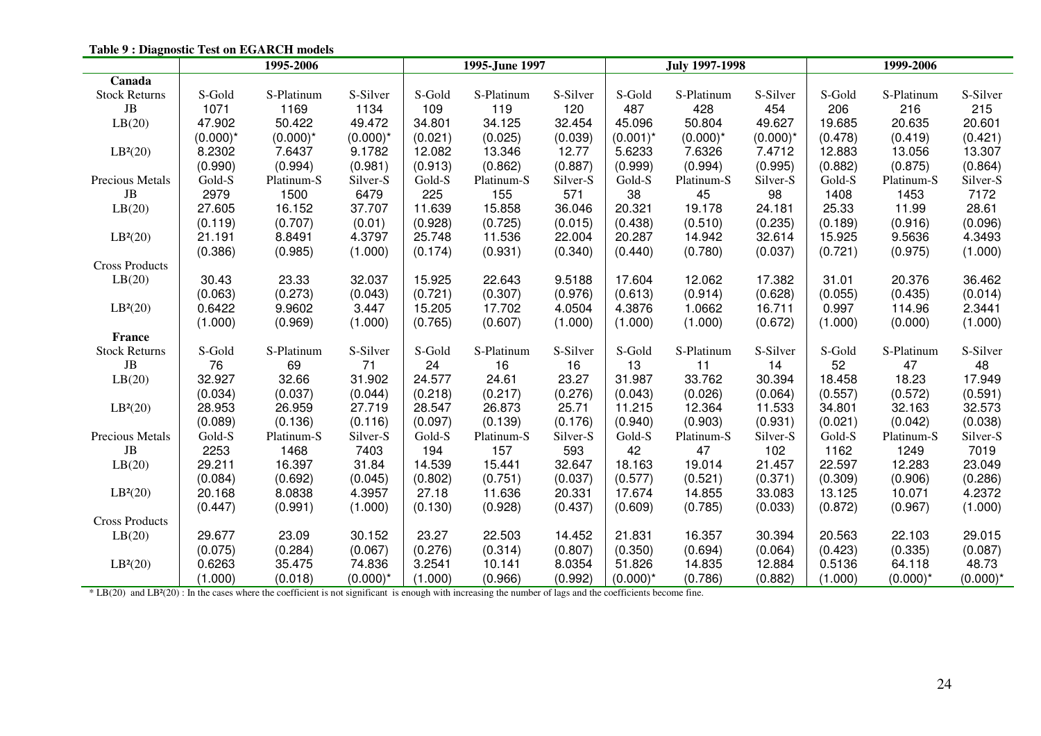|                                                                                                                                                                          |             | 1995-2006   |             |         | 1995-June 1997 |          |             | <b>July 1997-1998</b> |             |         | 1999-2006   |             |
|--------------------------------------------------------------------------------------------------------------------------------------------------------------------------|-------------|-------------|-------------|---------|----------------|----------|-------------|-----------------------|-------------|---------|-------------|-------------|
| Canada                                                                                                                                                                   |             |             |             |         |                |          |             |                       |             |         |             |             |
| <b>Stock Returns</b>                                                                                                                                                     | S-Gold      | S-Platinum  | S-Silver    | S-Gold  | S-Platinum     | S-Silver | S-Gold      | S-Platinum            | S-Silver    | S-Gold  | S-Platinum  | S-Silver    |
| $\rm{JB}$                                                                                                                                                                | 1071        | 1169        | 1134        | 109     | 119            | 120      | 487         | 428                   | 454         | 206     | 216         | 215         |
| LB(20)                                                                                                                                                                   | 47.902      | 50.422      | 49.472      | 34.801  | 34.125         | 32.454   | 45.096      | 50.804                | 49.627      | 19.685  | 20.635      | 20.601      |
|                                                                                                                                                                          | $(0.000)^*$ | $(0.000)^*$ | $(0.000)^*$ | (0.021) | (0.025)        | (0.039)  | $(0.001)^*$ | $(0.000)^*$           | $(0.000)^*$ | (0.478) | (0.419)     | (0.421)     |
| LB <sup>2</sup> (20)                                                                                                                                                     | 8.2302      | 7.6437      | 9.1782      | 12.082  | 13.346         | 12.77    | 5.6233      | 7.6326                | 7.4712      | 12.883  | 13.056      | 13.307      |
|                                                                                                                                                                          | (0.990)     | (0.994)     | (0.981)     | (0.913) | (0.862)        | (0.887)  | (0.999)     | (0.994)               | (0.995)     | (0.882) | (0.875)     | (0.864)     |
| Precious Metals                                                                                                                                                          | Gold-S      | Platinum-S  | Silver-S    | Gold-S  | Platinum-S     | Silver-S | Gold-S      | Platinum-S            | Silver-S    | Gold-S  | Platinum-S  | Silver-S    |
| JB                                                                                                                                                                       | 2979        | 1500        | 6479        | 225     | 155            | 571      | 38          | 45                    | 98          | 1408    | 1453        | 7172        |
| LB(20)                                                                                                                                                                   | 27.605      | 16.152      | 37.707      | 11.639  | 15.858         | 36.046   | 20.321      | 19.178                | 24.181      | 25.33   | 11.99       | 28.61       |
|                                                                                                                                                                          | (0.119)     | (0.707)     | (0.01)      | (0.928) | (0.725)        | (0.015)  | (0.438)     | (0.510)               | (0.235)     | (0.189) | (0.916)     | (0.096)     |
| LB <sup>2</sup> (20)                                                                                                                                                     | 21.191      | 8.8491      | 4.3797      | 25.748  | 11.536         | 22.004   | 20.287      | 14.942                | 32.614      | 15.925  | 9.5636      | 4.3493      |
|                                                                                                                                                                          | (0.386)     | (0.985)     | (1.000)     | (0.174) | (0.931)        | (0.340)  | (0.440)     | (0.780)               | (0.037)     | (0.721) | (0.975)     | (1.000)     |
| <b>Cross Products</b>                                                                                                                                                    |             |             |             |         |                |          |             |                       |             |         |             |             |
| LB(20)                                                                                                                                                                   | 30.43       | 23.33       | 32.037      | 15.925  | 22.643         | 9.5188   | 17.604      | 12.062                | 17.382      | 31.01   | 20.376      | 36.462      |
|                                                                                                                                                                          | (0.063)     | (0.273)     | (0.043)     | (0.721) | (0.307)        | (0.976)  | (0.613)     | (0.914)               | (0.628)     | (0.055) | (0.435)     | (0.014)     |
| LB <sup>2</sup> (20)                                                                                                                                                     | 0.6422      | 9.9602      | 3.447       | 15.205  | 17.702         | 4.0504   | 4.3876      | 1.0662                | 16.711      | 0.997   | 114.96      | 2.3441      |
|                                                                                                                                                                          | (1.000)     | (0.969)     | (1.000)     | (0.765) | (0.607)        | (1.000)  | (1.000)     | (1.000)               | (0.672)     | (1.000) | (0.000)     | (1.000)     |
| <b>France</b>                                                                                                                                                            |             |             |             |         |                |          |             |                       |             |         |             |             |
| <b>Stock Returns</b>                                                                                                                                                     | S-Gold      | S-Platinum  | S-Silver    | S-Gold  | S-Platinum     | S-Silver | S-Gold      | S-Platinum            | S-Silver    | S-Gold  | S-Platinum  | S-Silver    |
| $\rm{JB}$                                                                                                                                                                | 76          | 69          | 71          | 24      | 16             | 16       | 13          | 11                    | 14          | 52      | 47          | 48          |
| LB(20)                                                                                                                                                                   | 32.927      | 32.66       | 31.902      | 24.577  | 24.61          | 23.27    | 31.987      | 33.762                | 30.394      | 18.458  | 18.23       | 17.949      |
|                                                                                                                                                                          | (0.034)     | (0.037)     | (0.044)     | (0.218) | (0.217)        | (0.276)  | (0.043)     | (0.026)               | (0.064)     | (0.557) | (0.572)     | (0.591)     |
| LB <sup>2</sup> (20)                                                                                                                                                     | 28.953      | 26.959      | 27.719      | 28.547  | 26.873         | 25.71    | 11.215      | 12.364                | 11.533      | 34.801  | 32.163      | 32.573      |
|                                                                                                                                                                          | (0.089)     | (0.136)     | (0.116)     | (0.097) | (0.139)        | (0.176)  | (0.940)     | (0.903)               | (0.931)     | (0.021) | (0.042)     | (0.038)     |
| Precious Metals                                                                                                                                                          | Gold-S      | Platinum-S  | Silver-S    | Gold-S  | Platinum-S     | Silver-S | Gold-S      | Platinum-S            | Silver-S    | Gold-S  | Platinum-S  | Silver-S    |
| JB                                                                                                                                                                       | 2253        | 1468        | 7403        | 194     | 157            | 593      | 42          | 47                    | 102         | 1162    | 1249        | 7019        |
| LB(20)                                                                                                                                                                   | 29.211      | 16.397      | 31.84       | 14.539  | 15.441         | 32.647   | 18.163      | 19.014                | 21.457      | 22.597  | 12.283      | 23.049      |
|                                                                                                                                                                          | (0.084)     | (0.692)     | (0.045)     | (0.802) | (0.751)        | (0.037)  | (0.577)     | (0.521)               | (0.371)     | (0.309) | (0.906)     | (0.286)     |
| LB <sup>2</sup> (20)                                                                                                                                                     | 20.168      | 8.0838      | 4.3957      | 27.18   | 11.636         | 20.331   | 17.674      | 14.855                | 33.083      | 13.125  | 10.071      | 4.2372      |
|                                                                                                                                                                          | (0.447)     | (0.991)     | (1.000)     | (0.130) | (0.928)        | (0.437)  | (0.609)     | (0.785)               | (0.033)     | (0.872) | (0.967)     | (1.000)     |
| <b>Cross Products</b>                                                                                                                                                    |             |             |             |         |                |          |             |                       |             |         |             |             |
| LB(20)                                                                                                                                                                   | 29.677      | 23.09       | 30.152      | 23.27   | 22.503         | 14.452   | 21.831      | 16.357                | 30.394      | 20.563  | 22.103      | 29.015      |
|                                                                                                                                                                          | (0.075)     | (0.284)     | (0.067)     | (0.276) | (0.314)        | (0.807)  | (0.350)     | (0.694)               | (0.064)     | (0.423) | (0.335)     | (0.087)     |
| LB <sup>2</sup> (20)                                                                                                                                                     | 0.6263      | 35.475      | 74.836      | 3.2541  | 10.141         | 8.0354   | 51.826      | 14.835                | 12.884      | 0.5136  | 64.118      | 48.73       |
|                                                                                                                                                                          | (1.000)     | (0.018)     | $(0.000)^*$ | (1.000) | (0.966)        | (0.992)  | $(0.000)^*$ | (0.786)               | (0.882)     | (1.000) | $(0.000)^*$ | $(0.000)^*$ |
| * LB(20) and LB <sup>2</sup> (20) : In the cases where the coefficient is not significant is enough with increasing the number of lags and the coefficients become fine. |             |             |             |         |                |          |             |                       |             |         |             |             |

**Table 9 : Diagnostic Test on EGARCH models**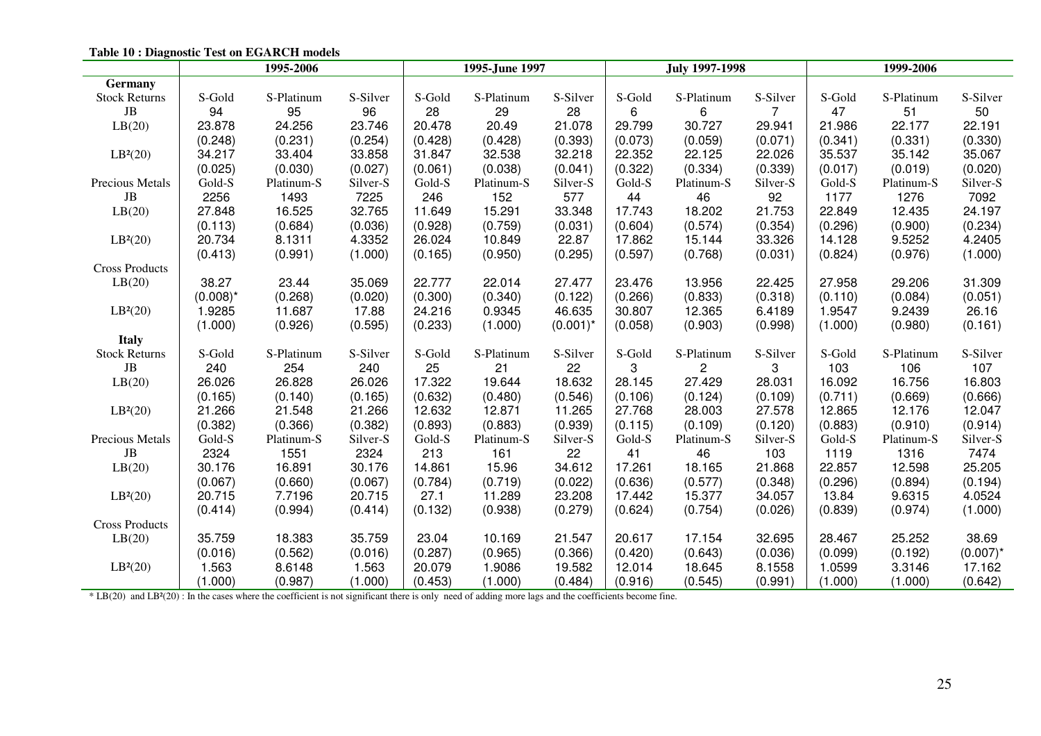|                                                                                                                                                                    |             | 1995-2006  |          |         | 1995-June 1997 |             |         | <b>July 1997-1998</b> |                | 1999-2006 |            |             |
|--------------------------------------------------------------------------------------------------------------------------------------------------------------------|-------------|------------|----------|---------|----------------|-------------|---------|-----------------------|----------------|-----------|------------|-------------|
| <b>Germany</b>                                                                                                                                                     |             |            |          |         |                |             |         |                       |                |           |            |             |
| <b>Stock Returns</b>                                                                                                                                               | S-Gold      | S-Platinum | S-Silver | S-Gold  | S-Platinum     | S-Silver    | S-Gold  | S-Platinum            | S-Silver       | S-Gold    | S-Platinum | S-Silver    |
| JB                                                                                                                                                                 | 94          | 95         | 96       | 28      | 29             | 28          | 6       | 6                     | $\overline{7}$ | 47        | 51         | 50          |
| LB(20)                                                                                                                                                             | 23.878      | 24.256     | 23.746   | 20.478  | 20.49          | 21.078      | 29.799  | 30.727                | 29.941         | 21.986    | 22.177     | 22.191      |
|                                                                                                                                                                    | (0.248)     | (0.231)    | (0.254)  | (0.428) | (0.428)        | (0.393)     | (0.073) | (0.059)               | (0.071)        | (0.341)   | (0.331)    | (0.330)     |
| LB <sup>2</sup> (20)                                                                                                                                               | 34.217      | 33.404     | 33.858   | 31.847  | 32.538         | 32.218      | 22.352  | 22.125                | 22.026         | 35.537    | 35.142     | 35.067      |
|                                                                                                                                                                    | (0.025)     | (0.030)    | (0.027)  | (0.061) | (0.038)        | (0.041)     | (0.322) | (0.334)               | (0.339)        | (0.017)   | (0.019)    | (0.020)     |
| Precious Metals                                                                                                                                                    | Gold-S      | Platinum-S | Silver-S | Gold-S  | Platinum-S     | Silver-S    | Gold-S  | Platinum-S            | Silver-S       | Gold-S    | Platinum-S | Silver-S    |
| JB                                                                                                                                                                 | 2256        | 1493       | 7225     | 246     | 152            | 577         | 44      | 46                    | 92             | 1177      | 1276       | 7092        |
| LB(20)                                                                                                                                                             | 27.848      | 16.525     | 32.765   | 11.649  | 15.291         | 33.348      | 17.743  | 18.202                | 21.753         | 22.849    | 12.435     | 24.197      |
|                                                                                                                                                                    | (0.113)     | (0.684)    | (0.036)  | (0.928) | (0.759)        | (0.031)     | (0.604) | (0.574)               | (0.354)        | (0.296)   | (0.900)    | (0.234)     |
| LB <sup>2</sup> (20)                                                                                                                                               | 20.734      | 8.1311     | 4.3352   | 26.024  | 10.849         | 22.87       | 17.862  | 15.144                | 33.326         | 14.128    | 9.5252     | 4.2405      |
|                                                                                                                                                                    | (0.413)     | (0.991)    | (1.000)  | (0.165) | (0.950)        | (0.295)     | (0.597) | (0.768)               | (0.031)        | (0.824)   | (0.976)    | (1.000)     |
| <b>Cross Products</b>                                                                                                                                              |             |            |          |         |                |             |         |                       |                |           |            |             |
| LB(20)                                                                                                                                                             | 38.27       | 23.44      | 35.069   | 22.777  | 22.014         | 27.477      | 23.476  | 13.956                | 22.425         | 27.958    | 29.206     | 31.309      |
|                                                                                                                                                                    | $(0.008)^*$ | (0.268)    | (0.020)  | (0.300) | (0.340)        | (0.122)     | (0.266) | (0.833)               | (0.318)        | (0.110)   | (0.084)    | (0.051)     |
| LB <sup>2</sup> (20)                                                                                                                                               | 1.9285      | 11.687     | 17.88    | 24.216  | 0.9345         | 46.635      | 30.807  | 12.365                | 6.4189         | 1.9547    | 9.2439     | 26.16       |
|                                                                                                                                                                    | (1.000)     | (0.926)    | (0.595)  | (0.233) | (1.000)        | $(0.001)^*$ | (0.058) | (0.903)               | (0.998)        | (1.000)   | (0.980)    | (0.161)     |
| <b>Italy</b>                                                                                                                                                       |             |            |          |         |                |             |         |                       |                |           |            |             |
| <b>Stock Returns</b>                                                                                                                                               | S-Gold      | S-Platinum | S-Silver | S-Gold  | S-Platinum     | S-Silver    | S-Gold  | S-Platinum            | S-Silver       | S-Gold    | S-Platinum | S-Silver    |
| JB                                                                                                                                                                 | 240         | 254        | 240      | 25      | 21             | 22          | 3       | $\overline{2}$        | 3              | 103       | 106        | 107         |
| LB(20)                                                                                                                                                             | 26.026      | 26.828     | 26.026   | 17.322  | 19.644         | 18.632      | 28.145  | 27.429                | 28.031         | 16.092    | 16.756     | 16.803      |
|                                                                                                                                                                    | (0.165)     | (0.140)    | (0.165)  | (0.632) | (0.480)        | (0.546)     | (0.106) | (0.124)               | (0.109)        | (0.711)   | (0.669)    | (0.666)     |
| LB <sup>2</sup> (20)                                                                                                                                               | 21.266      | 21.548     | 21.266   | 12.632  | 12.871         | 11.265      | 27.768  | 28.003                | 27.578         | 12.865    | 12.176     | 12.047      |
|                                                                                                                                                                    | (0.382)     | (0.366)    | (0.382)  | (0.893) | (0.883)        | (0.939)     | (0.115) | (0.109)               | (0.120)        | (0.883)   | (0.910)    | (0.914)     |
| Precious Metals                                                                                                                                                    | Gold-S      | Platinum-S | Silver-S | Gold-S  | Platinum-S     | Silver-S    | Gold-S  | Platinum-S            | Silver-S       | Gold-S    | Platinum-S | Silver-S    |
| JB                                                                                                                                                                 | 2324        | 1551       | 2324     | 213     | 161            | 22          | 41      | 46                    | 103            | 1119      | 1316       | 7474        |
| LB(20)                                                                                                                                                             | 30.176      | 16.891     | 30.176   | 14.861  | 15.96          | 34.612      | 17.261  | 18.165                | 21.868         | 22.857    | 12.598     | 25.205      |
|                                                                                                                                                                    | (0.067)     | (0.660)    | (0.067)  | (0.784) | (0.719)        | (0.022)     | (0.636) | (0.577)               | (0.348)        | (0.296)   | (0.894)    | (0.194)     |
| LB <sup>2</sup> (20)                                                                                                                                               | 20.715      | 7.7196     | 20.715   | 27.1    | 11.289         | 23.208      | 17.442  | 15.377                | 34.057         | 13.84     | 9.6315     | 4.0524      |
|                                                                                                                                                                    | (0.414)     | (0.994)    | (0.414)  | (0.132) | (0.938)        | (0.279)     | (0.624) | (0.754)               | (0.026)        | (0.839)   | (0.974)    | (1.000)     |
| <b>Cross Products</b>                                                                                                                                              |             |            |          |         |                |             |         |                       |                |           |            |             |
| LB(20)                                                                                                                                                             | 35.759      | 18.383     | 35.759   | 23.04   | 10.169         | 21.547      | 20.617  | 17.154                | 32.695         | 28.467    | 25.252     | 38.69       |
|                                                                                                                                                                    | (0.016)     | (0.562)    | (0.016)  | (0.287) | (0.965)        | (0.366)     | (0.420) | (0.643)               | (0.036)        | (0.099)   | (0.192)    | $(0.007)^*$ |
| LB <sup>2</sup> (20)                                                                                                                                               | 1.563       | 8.6148     | 1.563    | 20.079  | 1.9086         | 19.582      | 12.014  | 18.645                | 8.1558         | 1.0599    | 3.3146     | 17.162      |
|                                                                                                                                                                    | (1.000)     | (0.987)    | (1.000)  | (0.453) | (1.000)        | (0.484)     | (0.916) | (0.545)               | (0.991)        | (1.000)   | (1.000)    | (0.642)     |
| * LB(20) and LB <sup>2</sup> (20) : In the cases where the coefficient is not significant there is only need of adding more lags and the coefficients become fine. |             |            |          |         |                |             |         |                       |                |           |            |             |

**Table 10 : Diagnostic Test on EGARCH models**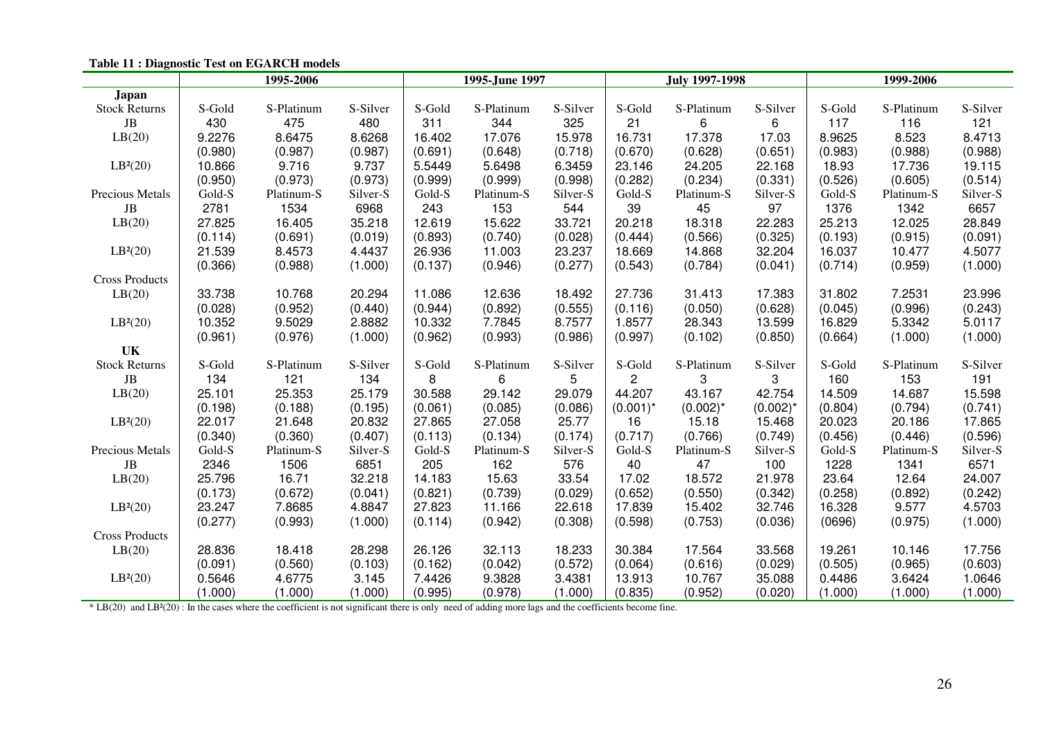| tusiv 11 i Diughoshe 1 tot on EGI htera mouens                                                                                                                     |         | 1995-2006  |          |         | 1995-June 1997 |          |              | <b>July 1997-1998</b> |             | 1999-2006 |            |          |
|--------------------------------------------------------------------------------------------------------------------------------------------------------------------|---------|------------|----------|---------|----------------|----------|--------------|-----------------------|-------------|-----------|------------|----------|
| Japan                                                                                                                                                              |         |            |          |         |                |          |              |                       |             |           |            |          |
| <b>Stock Returns</b>                                                                                                                                               | S-Gold  | S-Platinum | S-Silver | S-Gold  | S-Platinum     | S-Silver | S-Gold       | S-Platinum            | S-Silver    | S-Gold    | S-Platinum | S-Silver |
| $\rm{JB}$                                                                                                                                                          | 430     | 475        | 480      | 311     | 344            | 325      | 21           | 6                     | 6           | 117       | 116        | 121      |
| LB(20)                                                                                                                                                             | 9.2276  | 8.6475     | 8.6268   | 16.402  | 17.076         | 15.978   | 16.731       | 17.378                | 17.03       | 8.9625    | 8.523      | 8.4713   |
|                                                                                                                                                                    | (0.980) | (0.987)    | (0.987)  | (0.691) | (0.648)        | (0.718)  | (0.670)      | (0.628)               | (0.651)     | (0.983)   | (0.988)    | (0.988)  |
| LB <sup>2</sup> (20)                                                                                                                                               | 10.866  | 9.716      | 9.737    | 5.5449  | 5.6498         | 6.3459   | 23.146       | 24.205                | 22.168      | 18.93     | 17.736     | 19.115   |
|                                                                                                                                                                    | (0.950) | (0.973)    | (0.973)  | (0.999) | (0.999)        | (0.998)  | (0.282)      | (0.234)               | (0.331)     | (0.526)   | (0.605)    | (0.514)  |
| Precious Metals                                                                                                                                                    | Gold-S  | Platinum-S | Silver-S | Gold-S  | Platinum-S     | Silver-S | Gold-S       | Platinum-S            | Silver-S    | Gold-S    | Platinum-S | Silver-S |
| JB                                                                                                                                                                 | 2781    | 1534       | 6968     | 243     | 153            | 544      | 39           | 45                    | 97          | 1376      | 1342       | 6657     |
| LB(20)                                                                                                                                                             | 27.825  | 16.405     | 35.218   | 12.619  | 15.622         | 33.721   | 20.218       | 18.318                | 22.283      | 25.213    | 12.025     | 28.849   |
|                                                                                                                                                                    | (0.114) | (0.691)    | (0.019)  | (0.893) | (0.740)        | (0.028)  | (0.444)      | (0.566)               | (0.325)     | (0.193)   | (0.915)    | (0.091)  |
| LB <sup>2</sup> (20)                                                                                                                                               | 21.539  | 8.4573     | 4.4437   | 26.936  | 11.003         | 23.237   | 18.669       | 14.868                | 32.204      | 16.037    | 10.477     | 4.5077   |
|                                                                                                                                                                    | (0.366) | (0.988)    | (1.000)  | (0.137) | (0.946)        | (0.277)  | (0.543)      | (0.784)               | (0.041)     | (0.714)   | (0.959)    | (1.000)  |
| <b>Cross Products</b>                                                                                                                                              |         |            |          |         |                |          |              |                       |             |           |            |          |
| LB(20)                                                                                                                                                             | 33.738  | 10.768     | 20.294   | 11.086  | 12.636         | 18.492   | 27.736       | 31.413                | 17.383      | 31.802    | 7.2531     | 23.996   |
|                                                                                                                                                                    | (0.028) | (0.952)    | (0.440)  | (0.944) | (0.892)        | (0.555)  | (0.116)      | (0.050)               | (0.628)     | (0.045)   | (0.996)    | (0.243)  |
| LB <sup>2</sup> (20)                                                                                                                                               | 10.352  | 9.5029     | 2.8882   | 10.332  | 7.7845         | 8.7577   | 1.8577       | 28.343                | 13.599      | 16.829    | 5.3342     | 5.0117   |
|                                                                                                                                                                    | (0.961) | (0.976)    | (1.000)  | (0.962) | (0.993)        | (0.986)  | (0.997)      | (0.102)               | (0.850)     | (0.664)   | (1.000)    | (1.000)  |
| UK                                                                                                                                                                 |         |            |          |         |                |          |              |                       |             |           |            |          |
| <b>Stock Returns</b>                                                                                                                                               | S-Gold  | S-Platinum | S-Silver | S-Gold  | S-Platinum     | S-Silver | S-Gold       | S-Platinum            | S-Silver    | S-Gold    | S-Platinum | S-Silver |
| JB                                                                                                                                                                 | 134     | 121        | 134      | 8       | 6              | 5        | $\mathbf{2}$ | 3                     | 3           | 160       | 153        | 191      |
| LB(20)                                                                                                                                                             | 25.101  | 25.353     | 25.179   | 30.588  | 29.142         | 29.079   | 44.207       | 43.167                | 42.754      | 14.509    | 14.687     | 15.598   |
|                                                                                                                                                                    | (0.198) | (0.188)    | (0.195)  | (0.061) | (0.085)        | (0.086)  | $(0.001)^*$  | $(0.002)^*$           | $(0.002)^*$ | (0.804)   | (0.794)    | (0.741)  |
| LB <sup>2</sup> (20)                                                                                                                                               | 22.017  | 21.648     | 20.832   | 27.865  | 27.058         | 25.77    | 16           | 15.18                 | 15.468      | 20.023    | 20.186     | 17.865   |
|                                                                                                                                                                    | (0.340) | (0.360)    | (0.407)  | (0.113) | (0.134)        | (0.174)  | (0.717)      | (0.766)               | (0.749)     | (0.456)   | (0.446)    | (0.596)  |
| Precious Metals                                                                                                                                                    | Gold-S  | Platinum-S | Silver-S | Gold-S  | Platinum-S     | Silver-S | Gold-S       | Platinum-S            | Silver-S    | Gold-S    | Platinum-S | Silver-S |
| JB                                                                                                                                                                 | 2346    | 1506       | 6851     | 205     | 162            | 576      | 40           | 47                    | 100         | 1228      | 1341       | 6571     |
| LB(20)                                                                                                                                                             | 25.796  | 16.71      | 32.218   | 14.183  | 15.63          | 33.54    | 17.02        | 18.572                | 21.978      | 23.64     | 12.64      | 24.007   |
|                                                                                                                                                                    | (0.173) | (0.672)    | (0.041)  | (0.821) | (0.739)        | (0.029)  | (0.652)      | (0.550)               | (0.342)     | (0.258)   | (0.892)    | (0.242)  |
| LB <sup>2</sup> (20)                                                                                                                                               | 23.247  | 7.8685     | 4.8847   | 27.823  | 11.166         | 22.618   | 17.839       | 15.402                | 32.746      | 16.328    | 9.577      | 4.5703   |
|                                                                                                                                                                    | (0.277) | (0.993)    | (1.000)  | (0.114) | (0.942)        | (0.308)  | (0.598)      | (0.753)               | (0.036)     | (0696)    | (0.975)    | (1.000)  |
| <b>Cross Products</b>                                                                                                                                              |         |            |          |         |                |          |              |                       |             |           |            |          |
| LB(20)                                                                                                                                                             | 28.836  | 18.418     | 28.298   | 26.126  | 32.113         | 18.233   | 30.384       | 17.564                | 33.568      | 19.261    | 10.146     | 17.756   |
|                                                                                                                                                                    | (0.091) | (0.560)    | (0.103)  | (0.162) | (0.042)        | (0.572)  | (0.064)      | (0.616)               | (0.029)     | (0.505)   | (0.965)    | (0.603)  |
| LB <sup>2</sup> (20)                                                                                                                                               | 0.5646  | 4.6775     | 3.145    | 7.4426  | 9.3828         | 3.4381   | 13.913       | 10.767                | 35.088      | 0.4486    | 3.6424     | 1.0646   |
|                                                                                                                                                                    | (1.000) | (1.000)    | (1.000)  | (0.995) | (0.978)        | (1.000)  | (0.835)      | (0.952)               | (0.020)     | (1.000)   | (1.000)    | (1.000)  |
| * LB(20) and LB <sup>2</sup> (20) : In the cases where the coefficient is not significant there is only need of adding more lags and the coefficients become fine. |         |            |          |         |                |          |              |                       |             |           |            |          |

# **Table 11 : Diagnostic Test on EGARCH models**